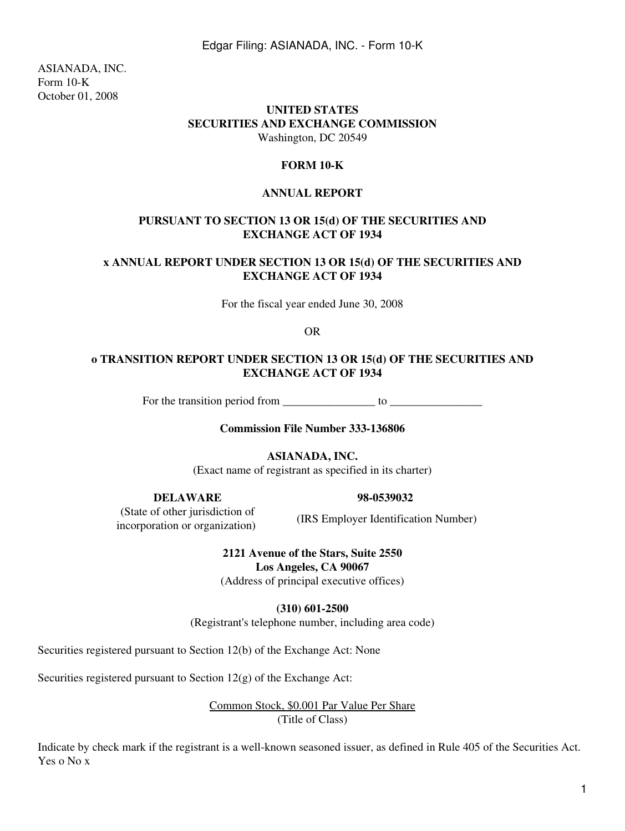ASIANADA, INC. Form 10-K October 01, 2008

### **UNITED STATES SECURITIES AND EXCHANGE COMMISSION** Washington, DC 20549

### **FORM 10-K**

### **ANNUAL REPORT**

### **PURSUANT TO SECTION 13 OR 15(d) OF THE SECURITIES AND EXCHANGE ACT OF 1934**

### **x ANNUAL REPORT UNDER SECTION 13 OR 15(d) OF THE SECURITIES AND EXCHANGE ACT OF 1934**

For the fiscal year ended June 30, 2008

OR

### **o TRANSITION REPORT UNDER SECTION 13 OR 15(d) OF THE SECURITIES AND EXCHANGE ACT OF 1934**

For the transition period from \_\_\_\_\_\_\_\_\_\_\_\_\_\_\_\_ to \_\_\_\_\_\_\_\_\_\_\_\_\_\_\_\_

**Commission File Number 333-136806**

**ASIANADA, INC.**

(Exact name of registrant as specified in its charter)

**DELAWARE 98-0539032**

 (State of other jurisdiction of incorporation or organization) (IRS Employer Identification Number)

**2121 Avenue of the Stars, Suite 2550 Los Angeles, CA 90067**

(Address of principal executive offices)

**(310) 601-2500**

(Registrant's telephone number, including area code)

Securities registered pursuant to Section 12(b) of the Exchange Act: None

Securities registered pursuant to Section 12(g) of the Exchange Act:

Common Stock, \$0.001 Par Value Per Share (Title of Class)

Indicate by check mark if the registrant is a well-known seasoned issuer, as defined in Rule 405 of the Securities Act. Yes o No x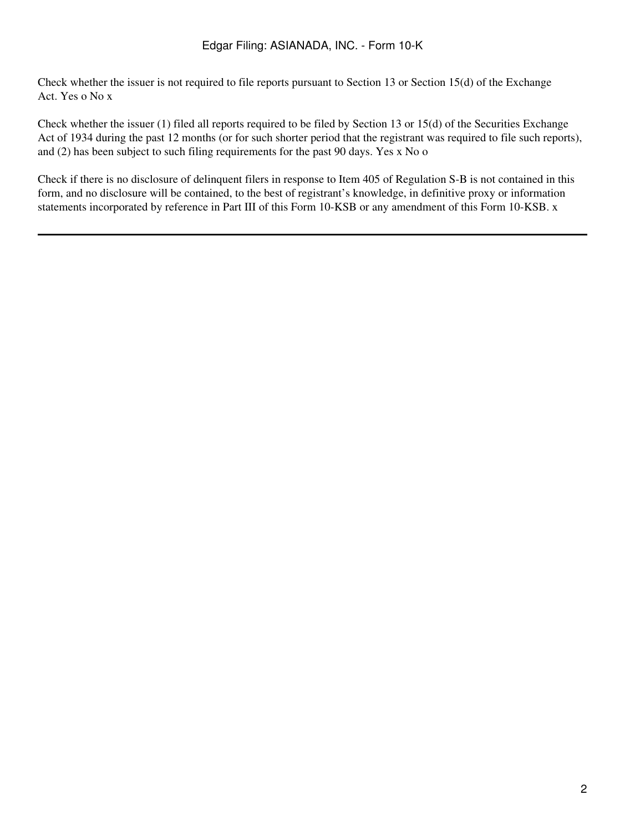Check whether the issuer is not required to file reports pursuant to Section 13 or Section 15(d) of the Exchange Act. Yes o No x

Check whether the issuer (1) filed all reports required to be filed by Section 13 or 15(d) of the Securities Exchange Act of 1934 during the past 12 months (or for such shorter period that the registrant was required to file such reports), and (2) has been subject to such filing requirements for the past 90 days. Yes x No o

Check if there is no disclosure of delinquent filers in response to Item 405 of Regulation S-B is not contained in this form, and no disclosure will be contained, to the best of registrant's knowledge, in definitive proxy or information statements incorporated by reference in Part III of this Form 10-KSB or any amendment of this Form 10-KSB. x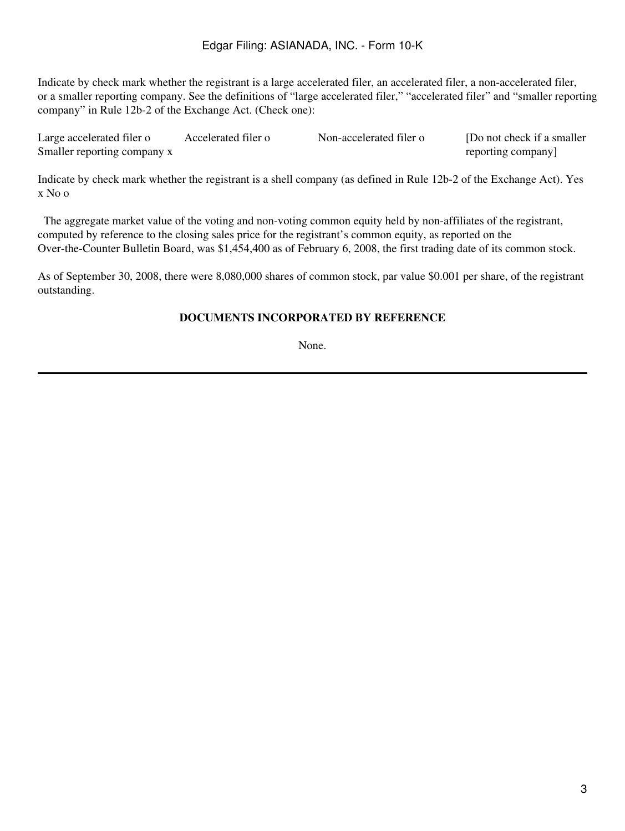Indicate by check mark whether the registrant is a large accelerated filer, an accelerated filer, a non-accelerated filer, or a smaller reporting company. See the definitions of "large accelerated filer," "accelerated filer" and "smaller reporting company" in Rule 12b-2 of the Exchange Act. (Check one):

| Large accelerated filer o   | Accelerated filer o | Non-accelerated filer o | [Do not check if a smaller] |
|-----------------------------|---------------------|-------------------------|-----------------------------|
| Smaller reporting company x |                     |                         | reporting company]          |

Indicate by check mark whether the registrant is a shell company (as defined in Rule 12b-2 of the Exchange Act). Yes x No o

 The aggregate market value of the voting and non-voting common equity held by non-affiliates of the registrant, computed by reference to the closing sales price for the registrant's common equity, as reported on the Over-the-Counter Bulletin Board, was \$1,454,400 as of February 6, 2008, the first trading date of its common stock.

As of September 30, 2008, there were 8,080,000 shares of common stock, par value \$0.001 per share, of the registrant outstanding.

### **DOCUMENTS INCORPORATED BY REFERENCE**

None.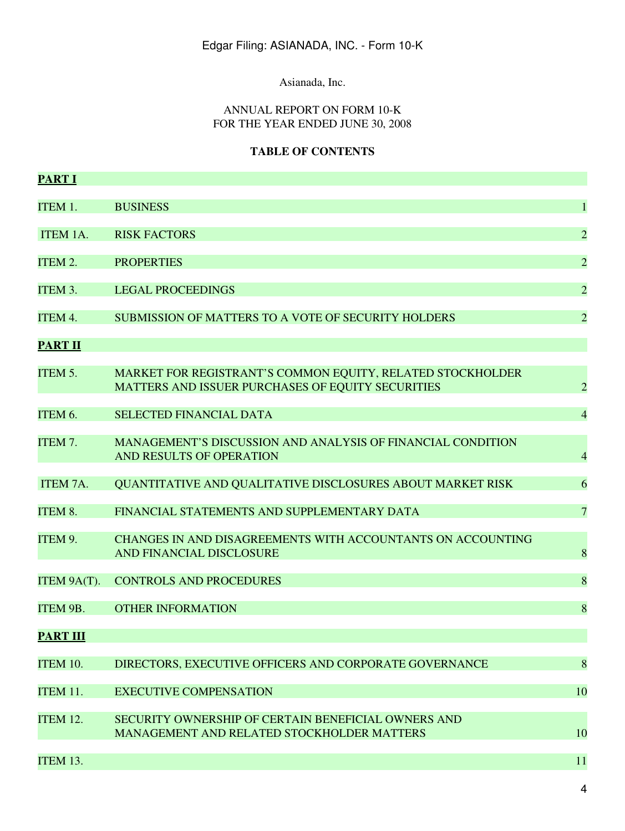Asianada, Inc.

### ANNUAL REPORT ON FORM 10-K FOR THE YEAR ENDED JUNE 30, 2008

# **TABLE OF CONTENTS**

| <b>PART I</b>   |                                                                                                                 |                |
|-----------------|-----------------------------------------------------------------------------------------------------------------|----------------|
| ITEM 1.         | <b>BUSINESS</b>                                                                                                 | $\mathbf{1}$   |
| ITEM 1A.        | <b>RISK FACTORS</b>                                                                                             | $\overline{2}$ |
| ITEM 2.         | <b>PROPERTIES</b>                                                                                               | $\overline{2}$ |
| ITEM 3.         | <b>LEGAL PROCEEDINGS</b>                                                                                        | $\overline{2}$ |
| ITEM 4.         | SUBMISSION OF MATTERS TO A VOTE OF SECURITY HOLDERS                                                             | $\overline{2}$ |
| <b>PART II</b>  |                                                                                                                 |                |
| ITEM 5.         | MARKET FOR REGISTRANT'S COMMON EQUITY, RELATED STOCKHOLDER<br>MATTERS AND ISSUER PURCHASES OF EQUITY SECURITIES | $\overline{2}$ |
| ITEM 6.         | <b>SELECTED FINANCIAL DATA</b>                                                                                  | $\overline{4}$ |
| ITEM 7.         | <b>MANAGEMENT'S DISCUSSION AND ANALYSIS OF FINANCIAL CONDITION</b><br>AND RESULTS OF OPERATION                  | $\overline{4}$ |
| ITEM 7A.        | QUANTITATIVE AND QUALITATIVE DISCLOSURES ABOUT MARKET RISK                                                      | 6              |
| ITEM 8.         | FINANCIAL STATEMENTS AND SUPPLEMENTARY DATA                                                                     | $\overline{7}$ |
| ITEM 9.         | <b>CHANGES IN AND DISAGREEMENTS WITH ACCOUNTANTS ON ACCOUNTING</b><br>AND FINANCIAL DISCLOSURE                  | 8              |
| ITEM 9A(T).     | <b>CONTROLS AND PROCEDURES</b>                                                                                  | 8              |
| ITEM 9B.        | <b>OTHER INFORMATION</b>                                                                                        | 8              |
| <b>PART III</b> |                                                                                                                 |                |
| <b>ITEM 10.</b> | DIRECTORS, EXECUTIVE OFFICERS AND CORPORATE GOVERNANCE                                                          | 8              |
| ITEM 11.        | <b>EXECUTIVE COMPENSATION</b>                                                                                   | 10             |
| <b>ITEM 12.</b> | SECURITY OWNERSHIP OF CERTAIN BENEFICIAL OWNERS AND<br>MANAGEMENT AND RELATED STOCKHOLDER MATTERS               | 10             |
| ITEM 13.        |                                                                                                                 | 11             |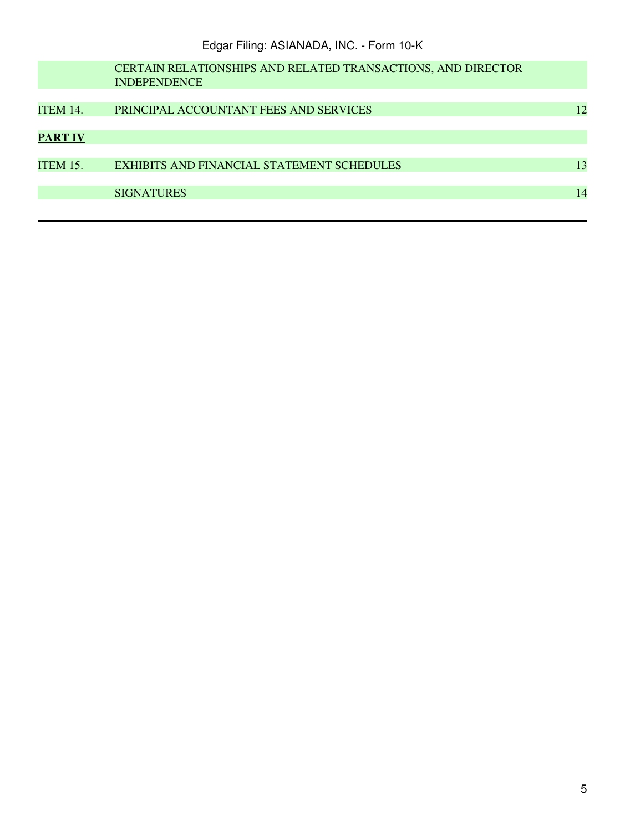|                 | <b>CERTAIN RELATIONSHIPS AND RELATED TRANSACTIONS, AND DIRECTOR</b><br><b>INDEPENDENCE</b> |    |
|-----------------|--------------------------------------------------------------------------------------------|----|
| <b>ITEM 14.</b> | PRINCIPAL ACCOUNTANT FEES AND SERVICES                                                     | 12 |
| <b>PART IV</b>  |                                                                                            |    |
| <b>ITEM 15.</b> | <b>EXHIBITS AND FINANCIAL STATEMENT SCHEDULES</b>                                          | 13 |
|                 | <b>SIGNATURES</b>                                                                          | 14 |
|                 |                                                                                            |    |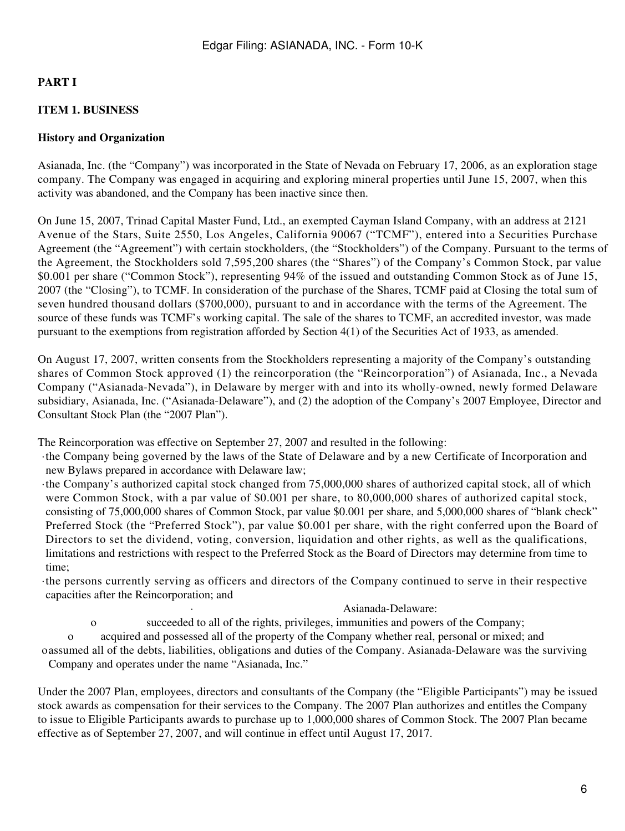# **PART I**

# **ITEM 1. BUSINESS**

### **History and Organization**

Asianada, Inc. (the "Company") was incorporated in the State of Nevada on February 17, 2006, as an exploration stage company. The Company was engaged in acquiring and exploring mineral properties until June 15, 2007, when this activity was abandoned, and the Company has been inactive since then.

On June 15, 2007, Trinad Capital Master Fund, Ltd., an exempted Cayman Island Company, with an address at 2121 Avenue of the Stars, Suite 2550, Los Angeles, California 90067 ("TCMF"), entered into a Securities Purchase Agreement (the "Agreement") with certain stockholders, (the "Stockholders") of the Company. Pursuant to the terms of the Agreement, the Stockholders sold 7,595,200 shares (the "Shares") of the Company's Common Stock, par value \$0.001 per share ("Common Stock"), representing 94% of the issued and outstanding Common Stock as of June 15, 2007 (the "Closing"), to TCMF. In consideration of the purchase of the Shares, TCMF paid at Closing the total sum of seven hundred thousand dollars (\$700,000), pursuant to and in accordance with the terms of the Agreement. The source of these funds was TCMF's working capital. The sale of the shares to TCMF, an accredited investor, was made pursuant to the exemptions from registration afforded by Section 4(1) of the Securities Act of 1933, as amended.

On August 17, 2007, written consents from the Stockholders representing a majority of the Company's outstanding shares of Common Stock approved (1) the reincorporation (the "Reincorporation") of Asianada, Inc., a Nevada Company ("Asianada-Nevada"), in Delaware by merger with and into its wholly-owned, newly formed Delaware subsidiary, Asianada, Inc. ("Asianada-Delaware"), and (2) the adoption of the Company's 2007 Employee, Director and Consultant Stock Plan (the "2007 Plan").

The Reincorporation was effective on September 27, 2007 and resulted in the following:

·the Company being governed by the laws of the State of Delaware and by a new Certificate of Incorporation and new Bylaws prepared in accordance with Delaware law;

·the Company's authorized capital stock changed from 75,000,000 shares of authorized capital stock, all of which were Common Stock, with a par value of \$0.001 per share, to 80,000,000 shares of authorized capital stock, consisting of 75,000,000 shares of Common Stock, par value \$0.001 per share, and 5,000,000 shares of "blank check" Preferred Stock (the "Preferred Stock"), par value \$0.001 per share, with the right conferred upon the Board of Directors to set the dividend, voting, conversion, liquidation and other rights, as well as the qualifications, limitations and restrictions with respect to the Preferred Stock as the Board of Directors may determine from time to time;

·the persons currently serving as officers and directors of the Company continued to serve in their respective capacities after the Reincorporation; and

#### · Asianada-Delaware:

o succeeded to all of the rights, privileges, immunities and powers of the Company;

o acquired and possessed all of the property of the Company whether real, personal or mixed; and oassumed all of the debts, liabilities, obligations and duties of the Company. Asianada-Delaware was the surviving Company and operates under the name "Asianada, Inc."

Under the 2007 Plan, employees, directors and consultants of the Company (the "Eligible Participants") may be issued stock awards as compensation for their services to the Company. The 2007 Plan authorizes and entitles the Company to issue to Eligible Participants awards to purchase up to 1,000,000 shares of Common Stock. The 2007 Plan became effective as of September 27, 2007, and will continue in effect until August 17, 2017.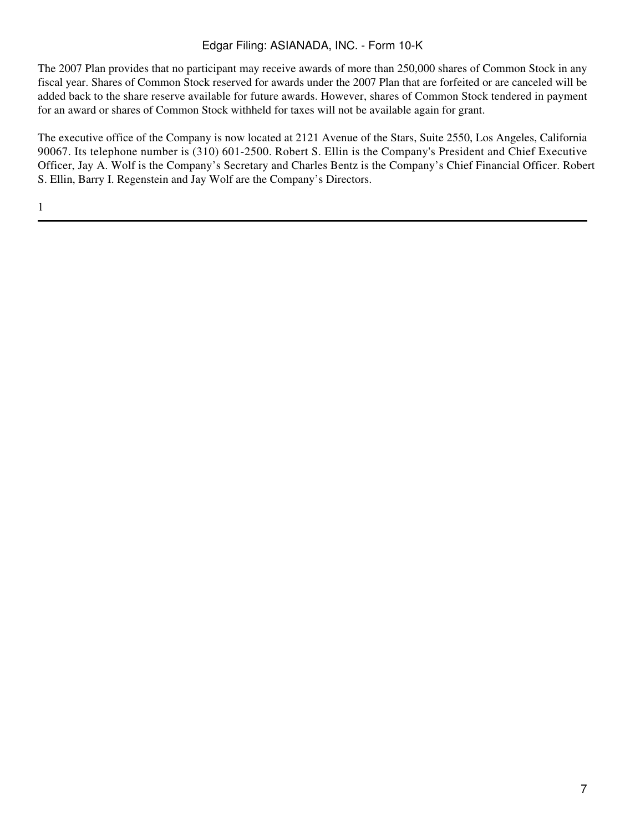The 2007 Plan provides that no participant may receive awards of more than 250,000 shares of Common Stock in any fiscal year. Shares of Common Stock reserved for awards under the 2007 Plan that are forfeited or are canceled will be added back to the share reserve available for future awards. However, shares of Common Stock tendered in payment for an award or shares of Common Stock withheld for taxes will not be available again for grant.

The executive office of the Company is now located at 2121 Avenue of the Stars, Suite 2550, Los Angeles, California 90067. Its telephone number is (310) 601-2500. Robert S. Ellin is the Company's President and Chief Executive Officer, Jay A. Wolf is the Company's Secretary and Charles Bentz is the Company's Chief Financial Officer. Robert S. Ellin, Barry I. Regenstein and Jay Wolf are the Company's Directors.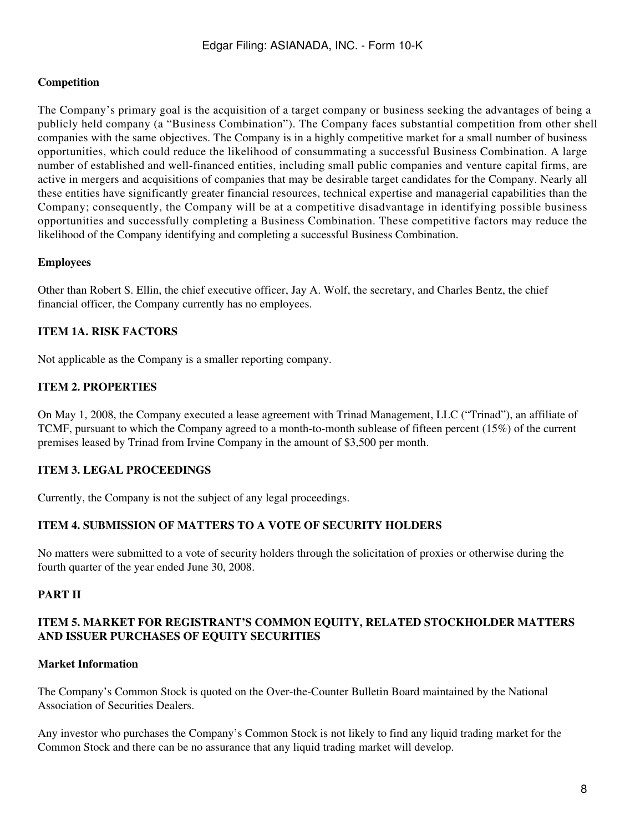### **Competition**

The Company's primary goal is the acquisition of a target company or business seeking the advantages of being a publicly held company (a "Business Combination"). The Company faces substantial competition from other shell companies with the same objectives. The Company is in a highly competitive market for a small number of business opportunities, which could reduce the likelihood of consummating a successful Business Combination. A large number of established and well-financed entities, including small public companies and venture capital firms, are active in mergers and acquisitions of companies that may be desirable target candidates for the Company. Nearly all these entities have significantly greater financial resources, technical expertise and managerial capabilities than the Company; consequently, the Company will be at a competitive disadvantage in identifying possible business opportunities and successfully completing a Business Combination. These competitive factors may reduce the likelihood of the Company identifying and completing a successful Business Combination.

### **Employees**

Other than Robert S. Ellin, the chief executive officer, Jay A. Wolf, the secretary, and Charles Bentz, the chief financial officer, the Company currently has no employees.

### **ITEM 1A. RISK FACTORS**

Not applicable as the Company is a smaller reporting company.

### **ITEM 2. PROPERTIES**

On May 1, 2008, the Company executed a lease agreement with Trinad Management, LLC ("Trinad"), an affiliate of TCMF, pursuant to which the Company agreed to a month-to-month sublease of fifteen percent (15%) of the current premises leased by Trinad from Irvine Company in the amount of \$3,500 per month.

### **ITEM 3. LEGAL PROCEEDINGS**

Currently, the Company is not the subject of any legal proceedings.

# **ITEM 4. SUBMISSION OF MATTERS TO A VOTE OF SECURITY HOLDERS**

No matters were submitted to a vote of security holders through the solicitation of proxies or otherwise during the fourth quarter of the year ended June 30, 2008.

### **PART II**

### **ITEM 5. MARKET FOR REGISTRANT'S COMMON EQUITY, RELATED STOCKHOLDER MATTERS AND ISSUER PURCHASES OF EQUITY SECURITIES**

#### **Market Information**

The Company's Common Stock is quoted on the Over-the-Counter Bulletin Board maintained by the National Association of Securities Dealers.

Any investor who purchases the Company's Common Stock is not likely to find any liquid trading market for the Common Stock and there can be no assurance that any liquid trading market will develop.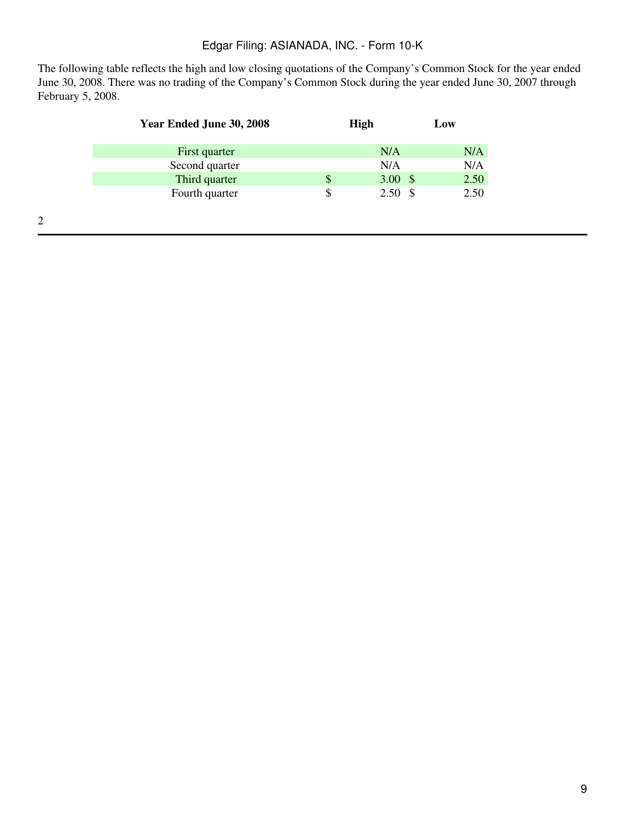The following table reflects the high and low closing quotations of the Company's Common Stock for the year ended June 30, 2008. There was no trading of the Company's Common Stock during the year ended June 30, 2007 through February 5, 2008.

| Year Ended June 30, 2008 | <b>High</b>              | Low  |
|--------------------------|--------------------------|------|
| First quarter            | N/A                      | N/A  |
| Second quarter           | N/A                      | N/A  |
| Third quarter            | \$<br>3.00 $\frac{1}{2}$ | 2.50 |
| Fourth quarter           | \$<br>$2.50*$            | 2.50 |
|                          |                          |      |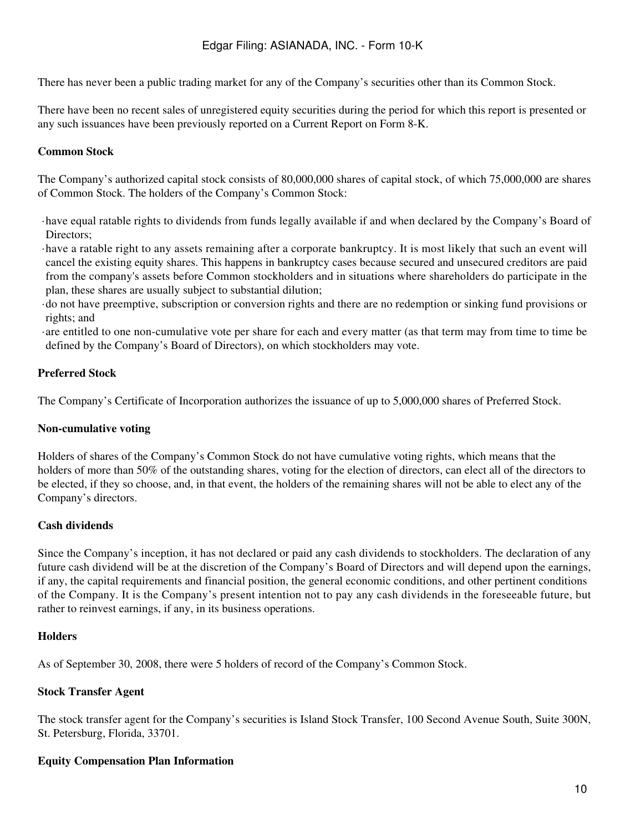There has never been a public trading market for any of the Company's securities other than its Common Stock.

There have been no recent sales of unregistered equity securities during the period for which this report is presented or any such issuances have been previously reported on a Current Report on Form 8-K.

### **Common Stock**

The Company's authorized capital stock consists of 80,000,000 shares of capital stock, of which 75,000,000 are shares of Common Stock. The holders of the Company's Common Stock:

- ·have equal ratable rights to dividends from funds legally available if and when declared by the Company's Board of Directors;
- ·have a ratable right to any assets remaining after a corporate bankruptcy. It is most likely that such an event will cancel the existing equity shares. This happens in bankruptcy cases because secured and unsecured creditors are paid from the company's assets before Common stockholders and in situations where shareholders do participate in the plan, these shares are usually subject to substantial dilution;
- ·do not have preemptive, subscription or conversion rights and there are no redemption or sinking fund provisions or rights; and
- ·are entitled to one non-cumulative vote per share for each and every matter (as that term may from time to time be defined by the Company's Board of Directors), on which stockholders may vote.

### **Preferred Stock**

The Company's Certificate of Incorporation authorizes the issuance of up to 5,000,000 shares of Preferred Stock.

#### **Non-cumulative voting**

Holders of shares of the Company's Common Stock do not have cumulative voting rights, which means that the holders of more than 50% of the outstanding shares, voting for the election of directors, can elect all of the directors to be elected, if they so choose, and, in that event, the holders of the remaining shares will not be able to elect any of the Company's directors.

### **Cash dividends**

Since the Company's inception, it has not declared or paid any cash dividends to stockholders. The declaration of any future cash dividend will be at the discretion of the Company's Board of Directors and will depend upon the earnings, if any, the capital requirements and financial position, the general economic conditions, and other pertinent conditions of the Company. It is the Company's present intention not to pay any cash dividends in the foreseeable future, but rather to reinvest earnings, if any, in its business operations.

#### **Holders**

As of September 30, 2008, there were 5 holders of record of the Company's Common Stock.

### **Stock Transfer Agent**

The stock transfer agent for the Company's securities is Island Stock Transfer, 100 Second Avenue South, Suite 300N, St. Petersburg, Florida, 33701.

### **Equity Compensation Plan Information**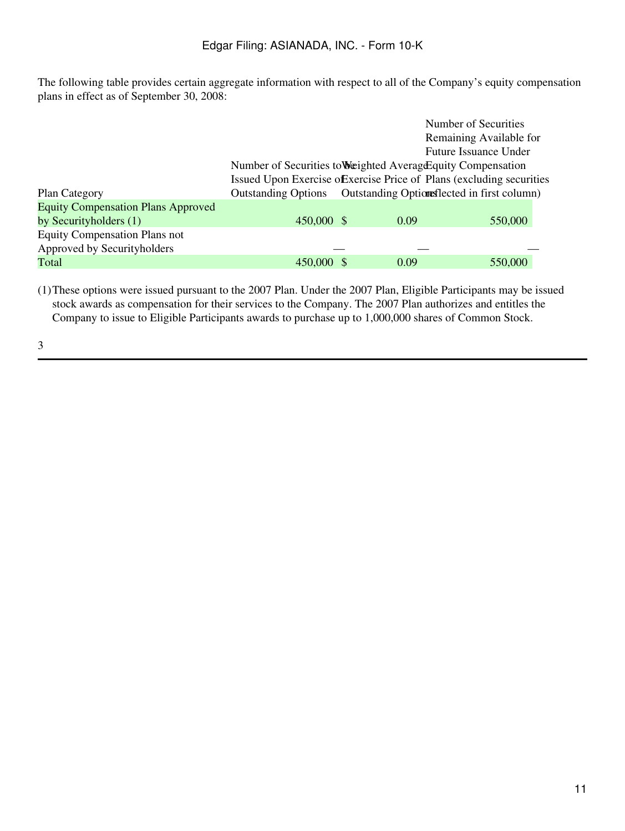The following table provides certain aggregate information with respect to all of the Company's equity compensation plans in effect as of September 30, 2008:

|                                           |                                                                       |                                              | Number of Securities         |
|-------------------------------------------|-----------------------------------------------------------------------|----------------------------------------------|------------------------------|
|                                           |                                                                       |                                              | Remaining Available for      |
|                                           |                                                                       |                                              | <b>Future Issuance Under</b> |
|                                           | Number of Securities to Weighted Average Equity Compensation          |                                              |                              |
|                                           | Issued Upon Exercise of Exercise Price of Plans (excluding securities |                                              |                              |
| <b>Plan Category</b>                      | <b>Outstanding Options</b>                                            | Outstanding Optiones lected in first column) |                              |
| <b>Equity Compensation Plans Approved</b> |                                                                       |                                              |                              |
| by Securityholders (1)                    | 450,000 \$                                                            | 0.09                                         | 550,000                      |
| <b>Equity Compensation Plans not</b>      |                                                                       |                                              |                              |
| Approved by Securityholders               |                                                                       |                                              |                              |
| Total                                     | 450,000 \$                                                            | 0.09                                         | 550,000                      |

(1)These options were issued pursuant to the 2007 Plan. Under the 2007 Plan, Eligible Participants may be issued stock awards as compensation for their services to the Company. The 2007 Plan authorizes and entitles the Company to issue to Eligible Participants awards to purchase up to 1,000,000 shares of Common Stock.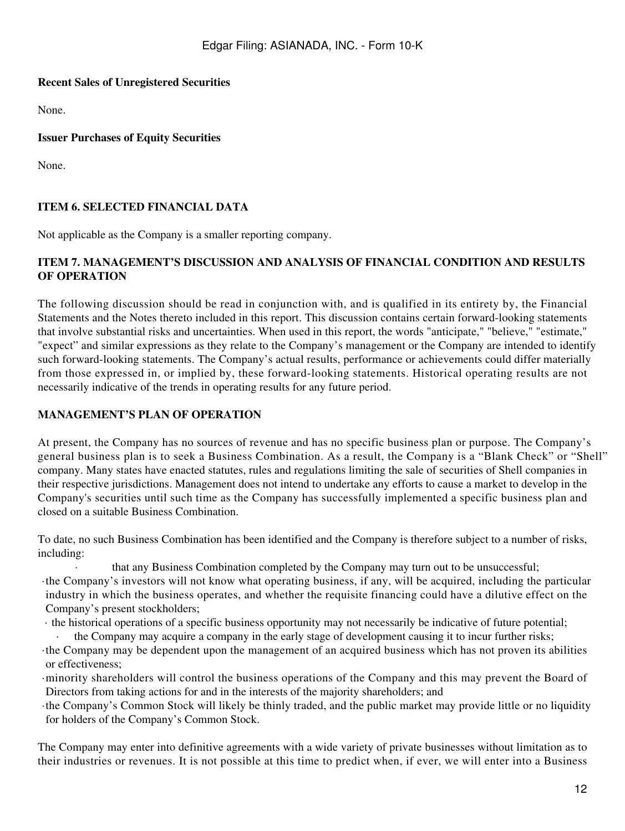### **Recent Sales of Unregistered Securities**

None.

**Issuer Purchases of Equity Securities**

None.

### **ITEM 6. SELECTED FINANCIAL DATA**

Not applicable as the Company is a smaller reporting company.

# **ITEM 7. MANAGEMENT'S DISCUSSION AND ANALYSIS OF FINANCIAL CONDITION AND RESULTS OF OPERATION**

The following discussion should be read in conjunction with, and is qualified in its entirety by, the Financial Statements and the Notes thereto included in this report. This discussion contains certain forward-looking statements that involve substantial risks and uncertainties. When used in this report, the words "anticipate," "believe," "estimate," "expect" and similar expressions as they relate to the Company's management or the Company are intended to identify such forward-looking statements. The Company's actual results, performance or achievements could differ materially from those expressed in, or implied by, these forward-looking statements. Historical operating results are not necessarily indicative of the trends in operating results for any future period.

### **MANAGEMENT'S PLAN OF OPERATION**

At present, the Company has no sources of revenue and has no specific business plan or purpose. The Company's general business plan is to seek a Business Combination. As a result, the Company is a "Blank Check" or "Shell" company. Many states have enacted statutes, rules and regulations limiting the sale of securities of Shell companies in their respective jurisdictions. Management does not intend to undertake any efforts to cause a market to develop in the Company's securities until such time as the Company has successfully implemented a specific business plan and closed on a suitable Business Combination.

To date, no such Business Combination has been identified and the Company is therefore subject to a number of risks, including:

· that any Business Combination completed by the Company may turn out to be unsuccessful; ·the Company's investors will not know what operating business, if any, will be acquired, including the particular

industry in which the business operates, and whether the requisite financing could have a dilutive effect on the Company's present stockholders;

· the historical operations of a specific business opportunity may not necessarily be indicative of future potential;

the Company may acquire a company in the early stage of development causing it to incur further risks;

·the Company may be dependent upon the management of an acquired business which has not proven its abilities or effectiveness;

·minority shareholders will control the business operations of the Company and this may prevent the Board of Directors from taking actions for and in the interests of the majority shareholders; and

·the Company's Common Stock will likely be thinly traded, and the public market may provide little or no liquidity for holders of the Company's Common Stock.

The Company may enter into definitive agreements with a wide variety of private businesses without limitation as to their industries or revenues. It is not possible at this time to predict when, if ever, we will enter into a Business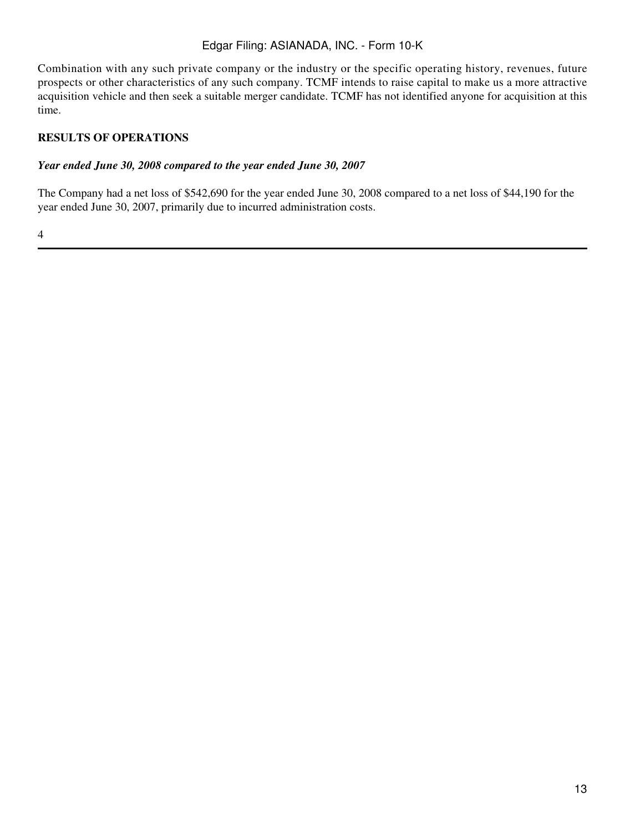Combination with any such private company or the industry or the specific operating history, revenues, future prospects or other characteristics of any such company. TCMF intends to raise capital to make us a more attractive acquisition vehicle and then seek a suitable merger candidate. TCMF has not identified anyone for acquisition at this time.

# **RESULTS OF OPERATIONS**

### *Year ended June 30, 2008 compared to the year ended June 30, 2007*

The Company had a net loss of \$542,690 for the year ended June 30, 2008 compared to a net loss of \$44,190 for the year ended June 30, 2007, primarily due to incurred administration costs.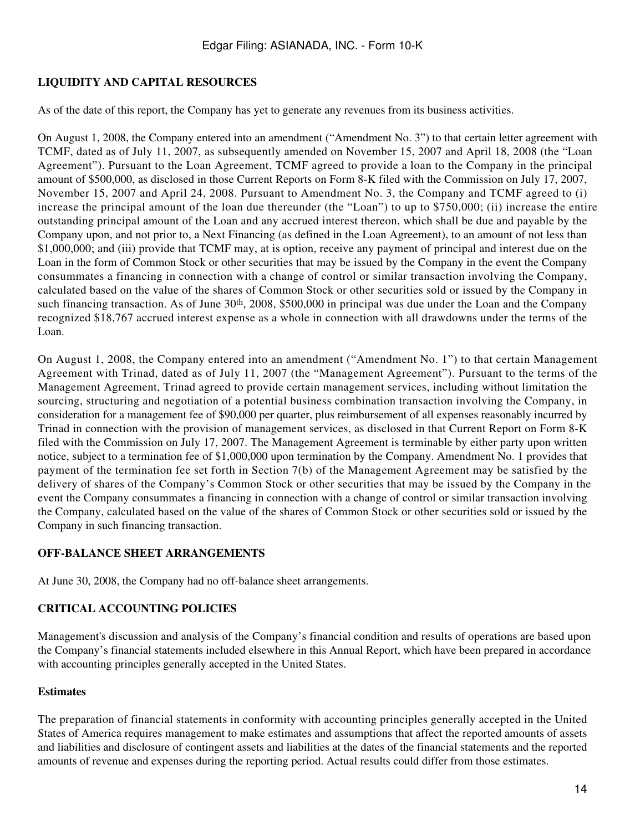# **LIQUIDITY AND CAPITAL RESOURCES**

As of the date of this report, the Company has yet to generate any revenues from its business activities.

On August 1, 2008, the Company entered into an amendment ("Amendment No. 3") to that certain letter agreement with TCMF, dated as of July 11, 2007, as subsequently amended on November 15, 2007 and April 18, 2008 (the "Loan Agreement"). Pursuant to the Loan Agreement, TCMF agreed to provide a loan to the Company in the principal amount of \$500,000, as disclosed in those Current Reports on Form 8-K filed with the Commission on July 17, 2007, November 15, 2007 and April 24, 2008. Pursuant to Amendment No. 3, the Company and TCMF agreed to (i) increase the principal amount of the loan due thereunder (the "Loan") to up to \$750,000; (ii) increase the entire outstanding principal amount of the Loan and any accrued interest thereon, which shall be due and payable by the Company upon, and not prior to, a Next Financing (as defined in the Loan Agreement), to an amount of not less than \$1,000,000; and (iii) provide that TCMF may, at is option, receive any payment of principal and interest due on the Loan in the form of Common Stock or other securities that may be issued by the Company in the event the Company consummates a financing in connection with a change of control or similar transaction involving the Company, calculated based on the value of the shares of Common Stock or other securities sold or issued by the Company in such financing transaction. As of June 30<sup>th</sup>, 2008, \$500,000 in principal was due under the Loan and the Company recognized \$18,767 accrued interest expense as a whole in connection with all drawdowns under the terms of the Loan.

On August 1, 2008, the Company entered into an amendment ("Amendment No. 1") to that certain Management Agreement with Trinad, dated as of July 11, 2007 (the "Management Agreement"). Pursuant to the terms of the Management Agreement, Trinad agreed to provide certain management services, including without limitation the sourcing, structuring and negotiation of a potential business combination transaction involving the Company, in consideration for a management fee of \$90,000 per quarter, plus reimbursement of all expenses reasonably incurred by Trinad in connection with the provision of management services, as disclosed in that Current Report on Form 8-K filed with the Commission on July 17, 2007. The Management Agreement is terminable by either party upon written notice, subject to a termination fee of \$1,000,000 upon termination by the Company. Amendment No. 1 provides that payment of the termination fee set forth in Section 7(b) of the Management Agreement may be satisfied by the delivery of shares of the Company's Common Stock or other securities that may be issued by the Company in the event the Company consummates a financing in connection with a change of control or similar transaction involving the Company, calculated based on the value of the shares of Common Stock or other securities sold or issued by the Company in such financing transaction.

### **OFF-BALANCE SHEET ARRANGEMENTS**

At June 30, 2008, the Company had no off-balance sheet arrangements.

### **CRITICAL ACCOUNTING POLICIES**

Management's discussion and analysis of the Company's financial condition and results of operations are based upon the Company's financial statements included elsewhere in this Annual Report, which have been prepared in accordance with accounting principles generally accepted in the United States.

#### **Estimates**

The preparation of financial statements in conformity with accounting principles generally accepted in the United States of America requires management to make estimates and assumptions that affect the reported amounts of assets and liabilities and disclosure of contingent assets and liabilities at the dates of the financial statements and the reported amounts of revenue and expenses during the reporting period. Actual results could differ from those estimates.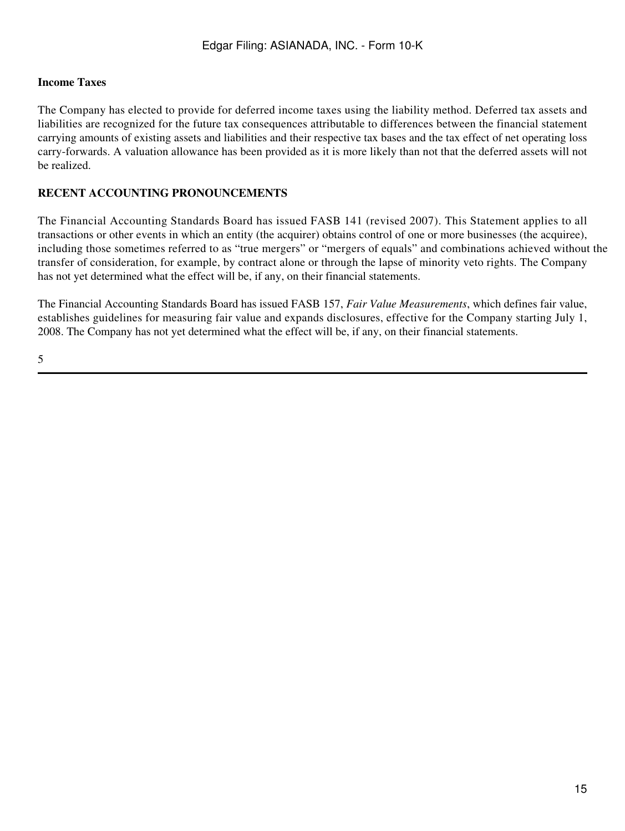### **Income Taxes**

The Company has elected to provide for deferred income taxes using the liability method. Deferred tax assets and liabilities are recognized for the future tax consequences attributable to differences between the financial statement carrying amounts of existing assets and liabilities and their respective tax bases and the tax effect of net operating loss carry-forwards. A valuation allowance has been provided as it is more likely than not that the deferred assets will not be realized.

# **RECENT ACCOUNTING PRONOUNCEMENTS**

The Financial Accounting Standards Board has issued FASB 141 (revised 2007). This Statement applies to all transactions or other events in which an entity (the acquirer) obtains control of one or more businesses (the acquiree), including those sometimes referred to as "true mergers" or "mergers of equals" and combinations achieved without the transfer of consideration, for example, by contract alone or through the lapse of minority veto rights. The Company has not yet determined what the effect will be, if any, on their financial statements.

The Financial Accounting Standards Board has issued FASB 157, *Fair Value Measurements*, which defines fair value, establishes guidelines for measuring fair value and expands disclosures, effective for the Company starting July 1, 2008. The Company has not yet determined what the effect will be, if any, on their financial statements.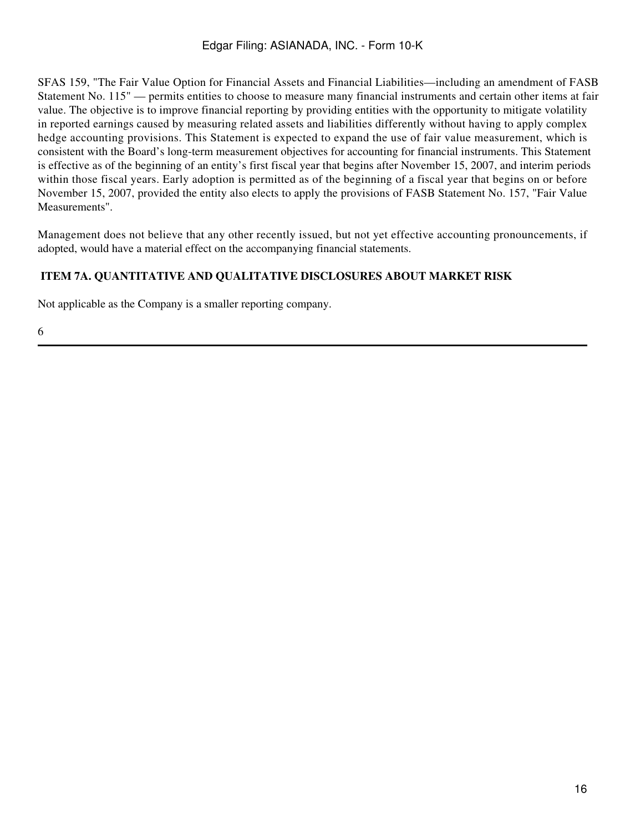SFAS 159, "The Fair Value Option for Financial Assets and Financial Liabilities—including an amendment of FASB Statement No. 115" — permits entities to choose to measure many financial instruments and certain other items at fair value. The objective is to improve financial reporting by providing entities with the opportunity to mitigate volatility in reported earnings caused by measuring related assets and liabilities differently without having to apply complex hedge accounting provisions. This Statement is expected to expand the use of fair value measurement, which is consistent with the Board's long-term measurement objectives for accounting for financial instruments. This Statement is effective as of the beginning of an entity's first fiscal year that begins after November 15, 2007, and interim periods within those fiscal years. Early adoption is permitted as of the beginning of a fiscal year that begins on or before November 15, 2007, provided the entity also elects to apply the provisions of FASB Statement No. 157, "Fair Value Measurements".

Management does not believe that any other recently issued, but not yet effective accounting pronouncements, if adopted, would have a material effect on the accompanying financial statements.

# **ITEM 7A. QUANTITATIVE AND QUALITATIVE DISCLOSURES ABOUT MARKET RISK**

Not applicable as the Company is a smaller reporting company.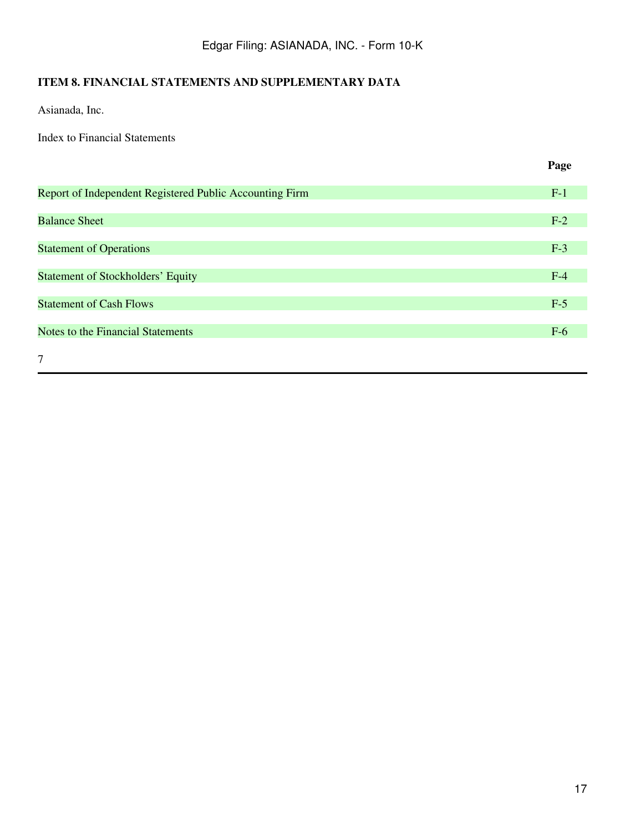# **ITEM 8. FINANCIAL STATEMENTS AND SUPPLEMENTARY DATA**

Asianada, Inc.

Index to Financial Statements

**Page**

| Report of Independent Registered Public Accounting Firm | $F-1$ |
|---------------------------------------------------------|-------|
|                                                         |       |
| <b>Balance Sheet</b>                                    | $F-2$ |
|                                                         |       |
| <b>Statement of Operations</b>                          | $F-3$ |
|                                                         |       |
| <b>Statement of Stockholders' Equity</b>                | $F-4$ |
|                                                         |       |
| <b>Statement of Cash Flows</b>                          | $F-5$ |
|                                                         |       |
| Notes to the Financial Statements                       | $F-6$ |
|                                                         |       |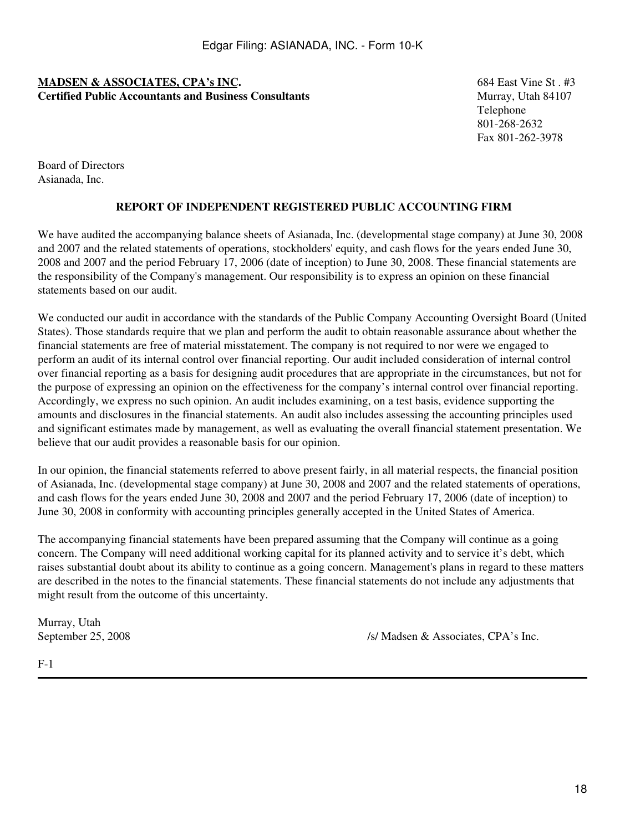### **MADSEN & ASSOCIATES, CPA's INC.** 684 East Vine St . #3 **Certified Public Accountants and Business Consultants** Music Murray, Utah 84107

Telephone 801-268-2632 Fax 801-262-3978

Board of Directors Asianada, Inc.

# **REPORT OF INDEPENDENT REGISTERED PUBLIC ACCOUNTING FIRM**

We have audited the accompanying balance sheets of Asianada, Inc. (developmental stage company) at June 30, 2008 and 2007 and the related statements of operations, stockholders' equity, and cash flows for the years ended June 30, 2008 and 2007 and the period February 17, 2006 (date of inception) to June 30, 2008. These financial statements are the responsibility of the Company's management. Our responsibility is to express an opinion on these financial statements based on our audit.

We conducted our audit in accordance with the standards of the Public Company Accounting Oversight Board (United States). Those standards require that we plan and perform the audit to obtain reasonable assurance about whether the financial statements are free of material misstatement. The company is not required to nor were we engaged to perform an audit of its internal control over financial reporting. Our audit included consideration of internal control over financial reporting as a basis for designing audit procedures that are appropriate in the circumstances, but not for the purpose of expressing an opinion on the effectiveness for the company's internal control over financial reporting. Accordingly, we express no such opinion. An audit includes examining, on a test basis, evidence supporting the amounts and disclosures in the financial statements. An audit also includes assessing the accounting principles used and significant estimates made by management, as well as evaluating the overall financial statement presentation. We believe that our audit provides a reasonable basis for our opinion.

In our opinion, the financial statements referred to above present fairly, in all material respects, the financial position of Asianada, Inc. (developmental stage company) at June 30, 2008 and 2007 and the related statements of operations, and cash flows for the years ended June 30, 2008 and 2007 and the period February 17, 2006 (date of inception) to June 30, 2008 in conformity with accounting principles generally accepted in the United States of America.

The accompanying financial statements have been prepared assuming that the Company will continue as a going concern. The Company will need additional working capital for its planned activity and to service it's debt, which raises substantial doubt about its ability to continue as a going concern. Management's plans in regard to these matters are described in the notes to the financial statements. These financial statements do not include any adjustments that might result from the outcome of this uncertainty.

Murray, Utah

September 25, 2008 /s/ Madsen & Associates, CPA's Inc.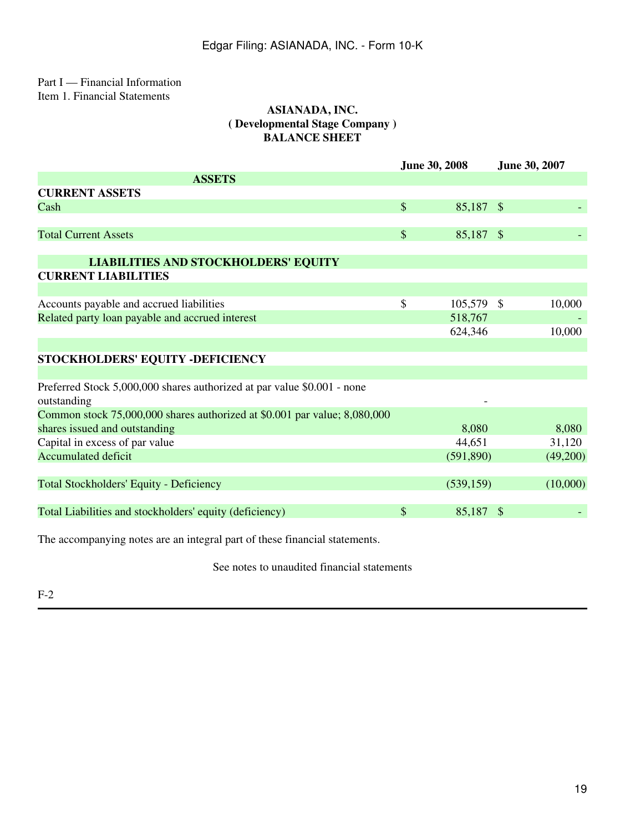### Part I — Financial Information Item 1. Financial Statements

### **ASIANADA, INC. ( Developmental Stage Company ) BALANCE SHEET**

|                                                                           | <b>June 30, 2008</b> |            | June 30, 2007 |          |
|---------------------------------------------------------------------------|----------------------|------------|---------------|----------|
| <b>ASSETS</b>                                                             |                      |            |               |          |
| <b>CURRENT ASSETS</b>                                                     |                      |            |               |          |
| Cash                                                                      | $\mathcal{S}$        | 85,187 \$  |               |          |
|                                                                           |                      |            |               |          |
| <b>Total Current Assets</b>                                               | $\$\$                | 85,187 \$  |               |          |
|                                                                           |                      |            |               |          |
| <b>LIABILITIES AND STOCKHOLDERS' EQUITY</b>                               |                      |            |               |          |
| <b>CURRENT LIABILITIES</b>                                                |                      |            |               |          |
|                                                                           |                      |            |               |          |
| Accounts payable and accrued liabilities                                  | $\mathcal{S}$        | 105,579 \$ |               | 10,000   |
| Related party loan payable and accrued interest                           |                      | 518,767    |               |          |
|                                                                           |                      | 624,346    |               | 10,000   |
|                                                                           |                      |            |               |          |
| STOCKHOLDERS' EQUITY -DEFICIENCY                                          |                      |            |               |          |
|                                                                           |                      |            |               |          |
| Preferred Stock 5,000,000 shares authorized at par value \$0.001 - none   |                      |            |               |          |
| outstanding                                                               |                      |            |               |          |
| Common stock 75,000,000 shares authorized at \$0.001 par value; 8,080,000 |                      |            |               |          |
| shares issued and outstanding                                             |                      | 8,080      |               | 8,080    |
| Capital in excess of par value                                            |                      | 44,651     |               | 31,120   |
| <b>Accumulated deficit</b>                                                |                      | (591,890)  |               | (49,200) |
|                                                                           |                      |            |               |          |
| <b>Total Stockholders' Equity - Deficiency</b>                            |                      | (539, 159) |               | (10,000) |
|                                                                           |                      |            |               |          |
| Total Liabilities and stockholders' equity (deficiency)                   | $\mathcal{S}$        | 85,187 \$  |               |          |
|                                                                           |                      |            |               |          |

The accompanying notes are an integral part of these financial statements.

See notes to unaudited financial statements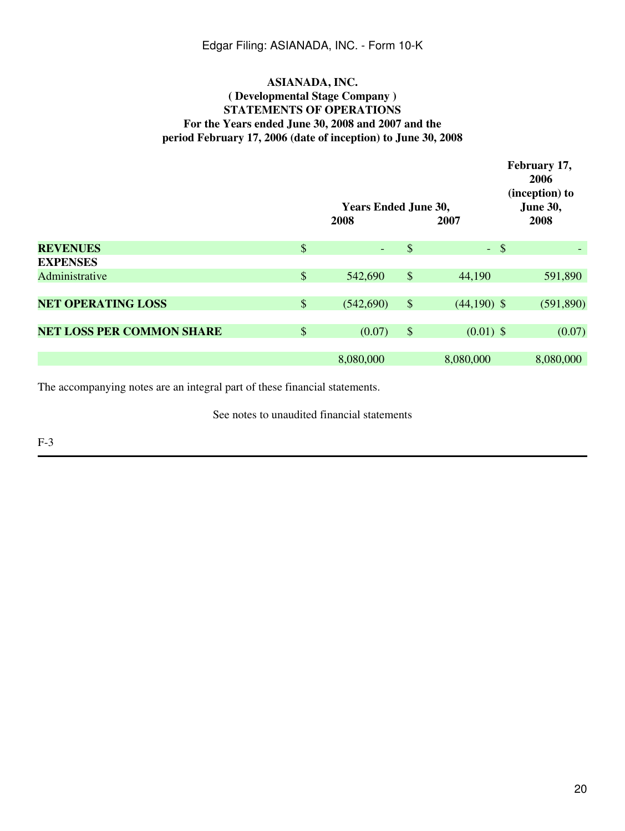### **ASIANADA, INC. ( Developmental Stage Company ) STATEMENTS OF OPERATIONS For the Years ended June 30, 2008 and 2007 and the period February 17, 2006 (date of inception) to June 30, 2008**

|                                  |       | <b>Years Ended June 30,</b><br>2008 |       | 2007          | February 17,<br>2006<br>(inception) to<br><b>June 30,</b><br>2008 |
|----------------------------------|-------|-------------------------------------|-------|---------------|-------------------------------------------------------------------|
| <b>REVENUES</b>                  | $\$\$ |                                     | \$    | $-$ \$        |                                                                   |
| <b>EXPENSES</b>                  |       |                                     |       |               |                                                                   |
| Administrative                   | $\$\$ | 542,690                             | $\$\$ | 44,190        | 591,890                                                           |
|                                  |       |                                     |       |               |                                                                   |
| <b>NET OPERATING LOSS</b>        | $\$\$ | (542,690)                           | $\$\$ | $(44,190)$ \$ | (591, 890)                                                        |
|                                  |       |                                     |       |               |                                                                   |
| <b>NET LOSS PER COMMON SHARE</b> | $\$\$ | (0.07)                              | $\$\$ | $(0.01)$ \$   | (0.07)                                                            |
|                                  |       |                                     |       |               |                                                                   |
|                                  |       | 8,080,000                           |       | 8,080,000     | 8,080,000                                                         |

The accompanying notes are an integral part of these financial statements.

See notes to unaudited financial statements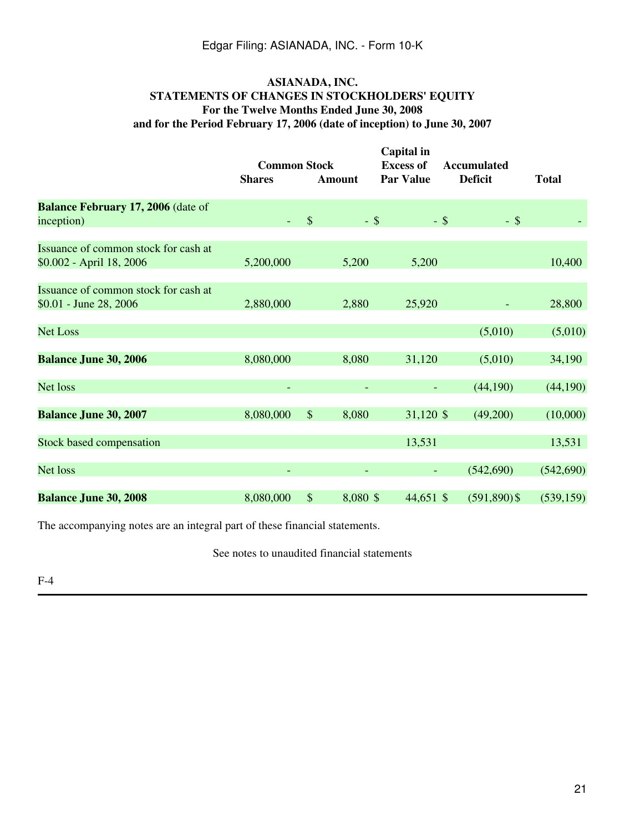### **ASIANADA, INC. STATEMENTS OF CHANGES IN STOCKHOLDERS' EQUITY For the Twelve Months Ended June 30, 2008 and for the Period February 17, 2006 (date of inception) to June 30, 2007**

|                                                                  | <b>Common Stock</b><br><b>Shares</b> | <b>Amount</b>             | Capital in<br><b>Excess of</b><br><b>Par Value</b> | <b>Accumulated</b><br><b>Deficit</b> | <b>Total</b> |
|------------------------------------------------------------------|--------------------------------------|---------------------------|----------------------------------------------------|--------------------------------------|--------------|
| Balance February 17, 2006 (date of<br>inception)                 |                                      | $\$\$                     | $-$ \$                                             | $-$ \$<br>$-$ \$                     |              |
| Issuance of common stock for cash at<br>\$0.002 - April 18, 2006 | 5,200,000                            | 5,200                     | 5,200                                              |                                      | 10,400       |
| Issuance of common stock for cash at<br>\$0.01 - June 28, 2006   | 2,880,000                            | 2,880                     | 25,920                                             |                                      | 28,800       |
| <b>Net Loss</b>                                                  |                                      |                           |                                                    | (5,010)                              | (5,010)      |
| <b>Balance June 30, 2006</b>                                     | 8,080,000                            | 8,080                     | 31,120                                             | (5,010)                              | 34,190       |
| Net loss                                                         |                                      |                           |                                                    | (44,190)                             | (44,190)     |
| <b>Balance June 30, 2007</b>                                     | 8,080,000                            | $\sqrt{\ }$<br>8,080      | 31,120 \$                                          | (49,200)                             | (10,000)     |
| <b>Stock based compensation</b>                                  |                                      |                           | 13,531                                             |                                      | 13,531       |
| Net loss                                                         |                                      |                           |                                                    | (542,690)                            | (542,690)    |
| <b>Balance June 30, 2008</b>                                     | 8,080,000                            | $\mathcal{S}$<br>8,080 \$ | 44,651 \$                                          | $(591,890)$ \$                       | (539, 159)   |

The accompanying notes are an integral part of these financial statements.

See notes to unaudited financial statements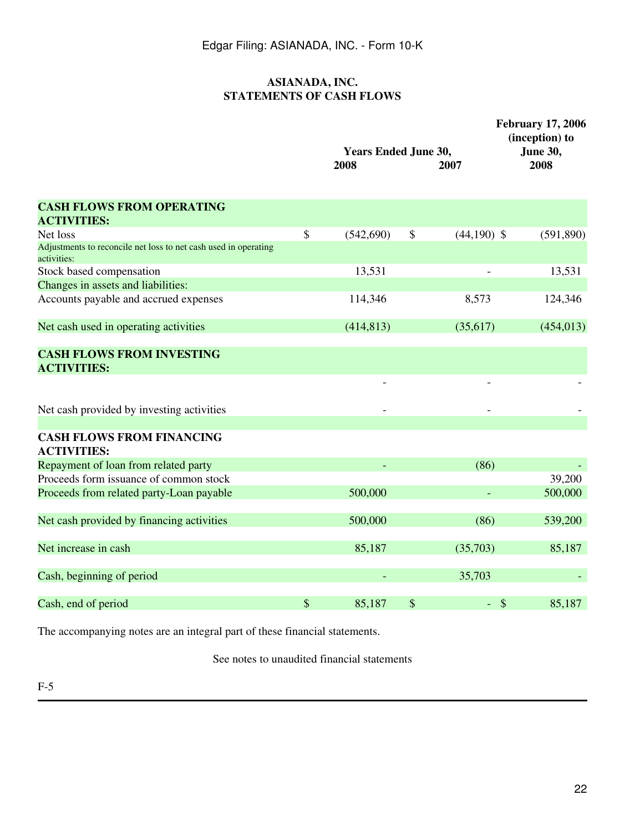# **ASIANADA, INC. STATEMENTS OF CASH FLOWS**

|                                                                                | <b>Years Ended June 30,</b><br>2008 | 2007                | <b>February 17, 2006</b><br>(inception) to<br>June 30,<br>2008 |
|--------------------------------------------------------------------------------|-------------------------------------|---------------------|----------------------------------------------------------------|
| <b>CASH FLOWS FROM OPERATING</b><br><b>ACTIVITIES:</b>                         |                                     |                     |                                                                |
| Net loss                                                                       | \$<br>(542,690)                     | \$<br>$(44,190)$ \$ | (591, 890)                                                     |
| Adjustments to reconcile net loss to net cash used in operating<br>activities: |                                     |                     |                                                                |
| Stock based compensation                                                       | 13,531                              |                     | 13,531                                                         |
| Changes in assets and liabilities:                                             |                                     |                     |                                                                |
| Accounts payable and accrued expenses                                          | 114,346                             | 8,573               | 124,346                                                        |
| Net cash used in operating activities                                          | (414, 813)                          | (35, 617)           | (454, 013)                                                     |
| <b>CASH FLOWS FROM INVESTING</b><br><b>ACTIVITIES:</b>                         |                                     |                     |                                                                |
| Net cash provided by investing activities                                      |                                     |                     |                                                                |
| <b>CASH FLOWS FROM FINANCING</b><br><b>ACTIVITIES:</b>                         |                                     |                     |                                                                |
| Repayment of loan from related party                                           |                                     | (86)                |                                                                |
| Proceeds form issuance of common stock                                         |                                     |                     | 39,200                                                         |
| Proceeds from related party-Loan payable                                       | 500,000                             |                     | 500,000                                                        |
| Net cash provided by financing activities                                      | 500,000                             | (86)                | 539,200                                                        |
| Net increase in cash                                                           | 85,187                              | (35,703)            | 85,187                                                         |
| Cash, beginning of period                                                      |                                     | 35,703              |                                                                |
| Cash, end of period                                                            | \$<br>85,187                        | \$<br>$-$ \$        | 85,187                                                         |
|                                                                                |                                     |                     |                                                                |

The accompanying notes are an integral part of these financial statements.

See notes to unaudited financial statements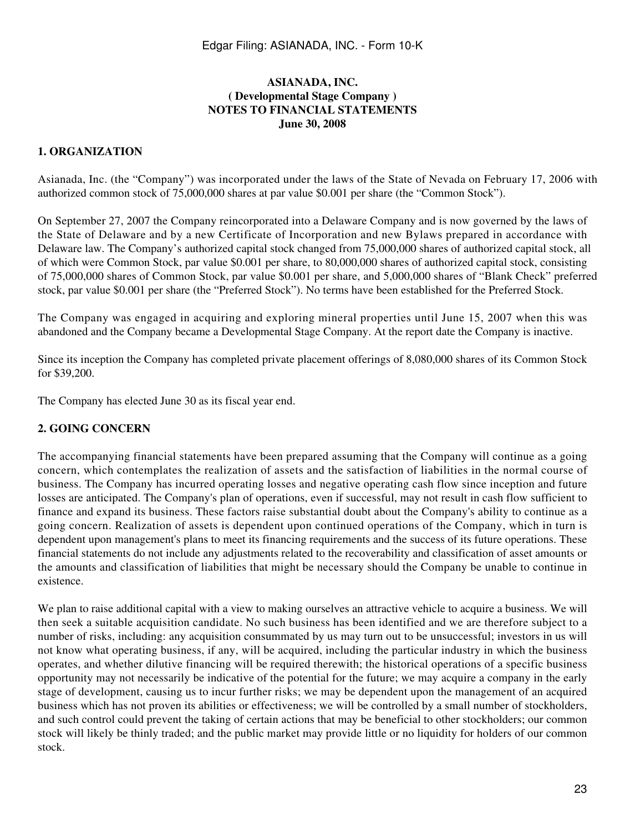### **ASIANADA, INC. ( Developmental Stage Company ) NOTES TO FINANCIAL STATEMENTS June 30, 2008**

#### **1. ORGANIZATION**

Asianada, Inc. (the "Company") was incorporated under the laws of the State of Nevada on February 17, 2006 with authorized common stock of 75,000,000 shares at par value \$0.001 per share (the "Common Stock").

On September 27, 2007 the Company reincorporated into a Delaware Company and is now governed by the laws of the State of Delaware and by a new Certificate of Incorporation and new Bylaws prepared in accordance with Delaware law. The Company's authorized capital stock changed from 75,000,000 shares of authorized capital stock, all of which were Common Stock, par value \$0.001 per share, to 80,000,000 shares of authorized capital stock, consisting of 75,000,000 shares of Common Stock, par value \$0.001 per share, and 5,000,000 shares of "Blank Check" preferred stock, par value \$0.001 per share (the "Preferred Stock"). No terms have been established for the Preferred Stock.

The Company was engaged in acquiring and exploring mineral properties until June 15, 2007 when this was abandoned and the Company became a Developmental Stage Company. At the report date the Company is inactive.

Since its inception the Company has completed private placement offerings of 8,080,000 shares of its Common Stock for \$39,200.

The Company has elected June 30 as its fiscal year end.

#### **2. GOING CONCERN**

The accompanying financial statements have been prepared assuming that the Company will continue as a going concern, which contemplates the realization of assets and the satisfaction of liabilities in the normal course of business. The Company has incurred operating losses and negative operating cash flow since inception and future losses are anticipated. The Company's plan of operations, even if successful, may not result in cash flow sufficient to finance and expand its business. These factors raise substantial doubt about the Company's ability to continue as a going concern. Realization of assets is dependent upon continued operations of the Company, which in turn is dependent upon management's plans to meet its financing requirements and the success of its future operations. These financial statements do not include any adjustments related to the recoverability and classification of asset amounts or the amounts and classification of liabilities that might be necessary should the Company be unable to continue in existence.

We plan to raise additional capital with a view to making ourselves an attractive vehicle to acquire a business. We will then seek a suitable acquisition candidate. No such business has been identified and we are therefore subject to a number of risks, including: any acquisition consummated by us may turn out to be unsuccessful; investors in us will not know what operating business, if any, will be acquired, including the particular industry in which the business operates, and whether dilutive financing will be required therewith; the historical operations of a specific business opportunity may not necessarily be indicative of the potential for the future; we may acquire a company in the early stage of development, causing us to incur further risks; we may be dependent upon the management of an acquired business which has not proven its abilities or effectiveness; we will be controlled by a small number of stockholders, and such control could prevent the taking of certain actions that may be beneficial to other stockholders; our common stock will likely be thinly traded; and the public market may provide little or no liquidity for holders of our common stock.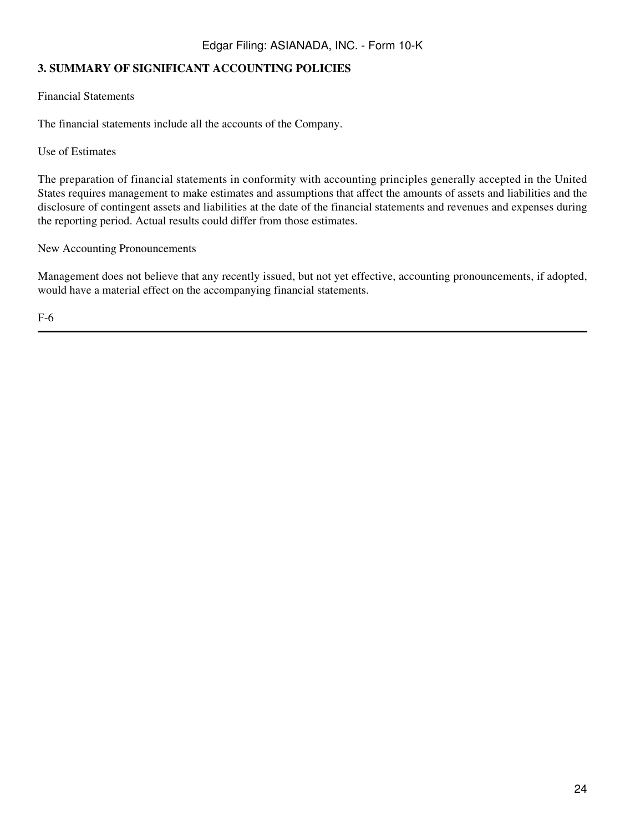# **3. SUMMARY OF SIGNIFICANT ACCOUNTING POLICIES**

Financial Statements

The financial statements include all the accounts of the Company.

Use of Estimates

The preparation of financial statements in conformity with accounting principles generally accepted in the United States requires management to make estimates and assumptions that affect the amounts of assets and liabilities and the disclosure of contingent assets and liabilities at the date of the financial statements and revenues and expenses during the reporting period. Actual results could differ from those estimates.

New Accounting Pronouncements

Management does not believe that any recently issued, but not yet effective, accounting pronouncements, if adopted, would have a material effect on the accompanying financial statements.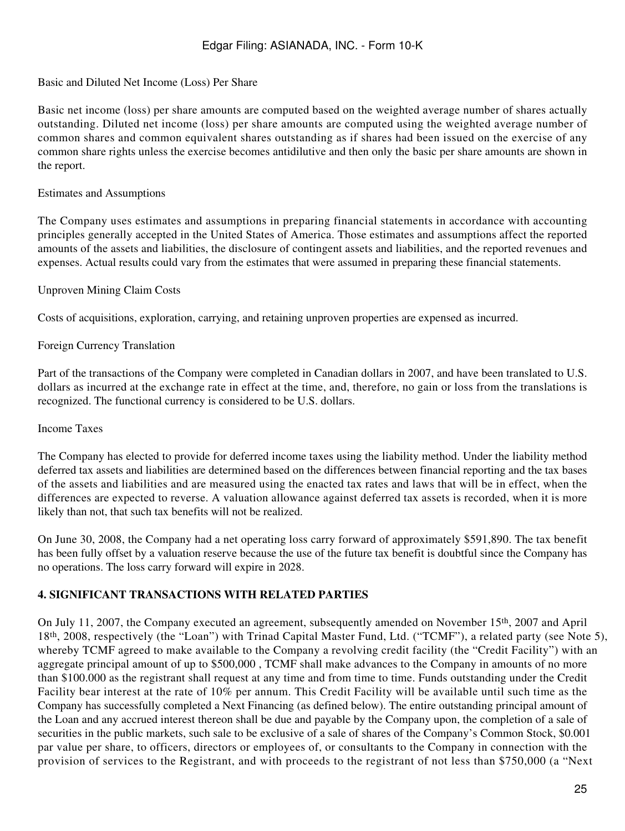### Basic and Diluted Net Income (Loss) Per Share

Basic net income (loss) per share amounts are computed based on the weighted average number of shares actually outstanding. Diluted net income (loss) per share amounts are computed using the weighted average number of common shares and common equivalent shares outstanding as if shares had been issued on the exercise of any common share rights unless the exercise becomes antidilutive and then only the basic per share amounts are shown in the report.

### Estimates and Assumptions

The Company uses estimates and assumptions in preparing financial statements in accordance with accounting principles generally accepted in the United States of America. Those estimates and assumptions affect the reported amounts of the assets and liabilities, the disclosure of contingent assets and liabilities, and the reported revenues and expenses. Actual results could vary from the estimates that were assumed in preparing these financial statements.

### Unproven Mining Claim Costs

Costs of acquisitions, exploration, carrying, and retaining unproven properties are expensed as incurred.

### Foreign Currency Translation

Part of the transactions of the Company were completed in Canadian dollars in 2007, and have been translated to U.S. dollars as incurred at the exchange rate in effect at the time, and, therefore, no gain or loss from the translations is recognized. The functional currency is considered to be U.S. dollars.

#### Income Taxes

The Company has elected to provide for deferred income taxes using the liability method. Under the liability method deferred tax assets and liabilities are determined based on the differences between financial reporting and the tax bases of the assets and liabilities and are measured using the enacted tax rates and laws that will be in effect, when the differences are expected to reverse. A valuation allowance against deferred tax assets is recorded, when it is more likely than not, that such tax benefits will not be realized.

On June 30, 2008, the Company had a net operating loss carry forward of approximately \$591,890. The tax benefit has been fully offset by a valuation reserve because the use of the future tax benefit is doubtful since the Company has no operations. The loss carry forward will expire in 2028.

### **4. SIGNIFICANT TRANSACTIONS WITH RELATED PARTIES**

On July 11, 2007, the Company executed an agreement, subsequently amended on November 15th, 2007 and April 18th, 2008, respectively (the "Loan") with Trinad Capital Master Fund, Ltd. ("TCMF"), a related party (see Note 5), whereby TCMF agreed to make available to the Company a revolving credit facility (the "Credit Facility") with an aggregate principal amount of up to \$500,000 , TCMF shall make advances to the Company in amounts of no more than \$100.000 as the registrant shall request at any time and from time to time. Funds outstanding under the Credit Facility bear interest at the rate of 10% per annum. This Credit Facility will be available until such time as the Company has successfully completed a Next Financing (as defined below). The entire outstanding principal amount of the Loan and any accrued interest thereon shall be due and payable by the Company upon, the completion of a sale of securities in the public markets, such sale to be exclusive of a sale of shares of the Company's Common Stock, \$0.001 par value per share, to officers, directors or employees of, or consultants to the Company in connection with the provision of services to the Registrant, and with proceeds to the registrant of not less than \$750,000 (a "Next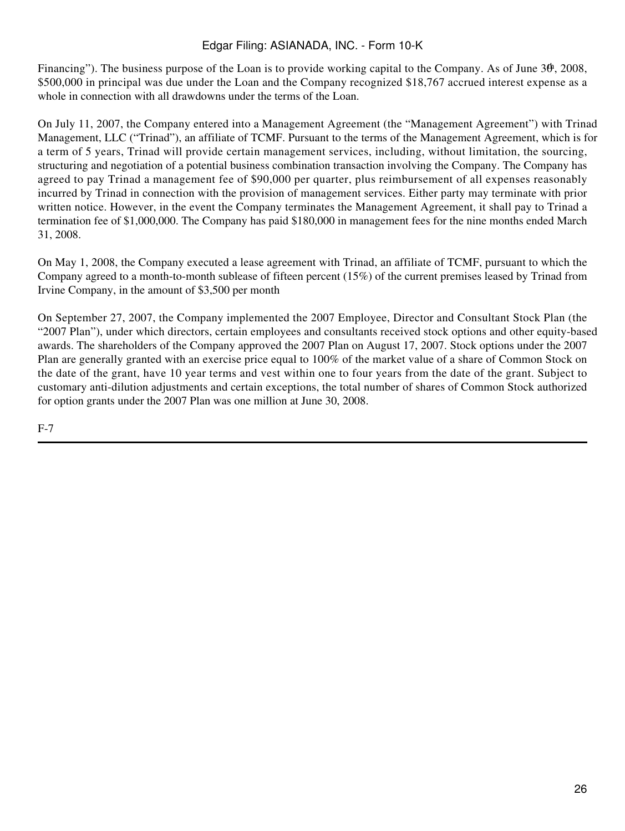Financing"). The business purpose of the Loan is to provide working capital to the Company. As of June  $3\theta$ , 2008, \$500,000 in principal was due under the Loan and the Company recognized \$18,767 accrued interest expense as a whole in connection with all drawdowns under the terms of the Loan.

On July 11, 2007, the Company entered into a Management Agreement (the "Management Agreement") with Trinad Management, LLC ("Trinad"), an affiliate of TCMF. Pursuant to the terms of the Management Agreement, which is for a term of 5 years, Trinad will provide certain management services, including, without limitation, the sourcing, structuring and negotiation of a potential business combination transaction involving the Company. The Company has agreed to pay Trinad a management fee of \$90,000 per quarter, plus reimbursement of all expenses reasonably incurred by Trinad in connection with the provision of management services. Either party may terminate with prior written notice. However, in the event the Company terminates the Management Agreement, it shall pay to Trinad a termination fee of \$1,000,000. The Company has paid \$180,000 in management fees for the nine months ended March 31, 2008.

On May 1, 2008, the Company executed a lease agreement with Trinad, an affiliate of TCMF, pursuant to which the Company agreed to a month-to-month sublease of fifteen percent (15%) of the current premises leased by Trinad from Irvine Company, in the amount of \$3,500 per month

On September 27, 2007, the Company implemented the 2007 Employee, Director and Consultant Stock Plan (the "2007 Plan"), under which directors, certain employees and consultants received stock options and other equity-based awards. The shareholders of the Company approved the 2007 Plan on August 17, 2007. Stock options under the 2007 Plan are generally granted with an exercise price equal to 100% of the market value of a share of Common Stock on the date of the grant, have 10 year terms and vest within one to four years from the date of the grant. Subject to customary anti-dilution adjustments and certain exceptions, the total number of shares of Common Stock authorized for option grants under the 2007 Plan was one million at June 30, 2008.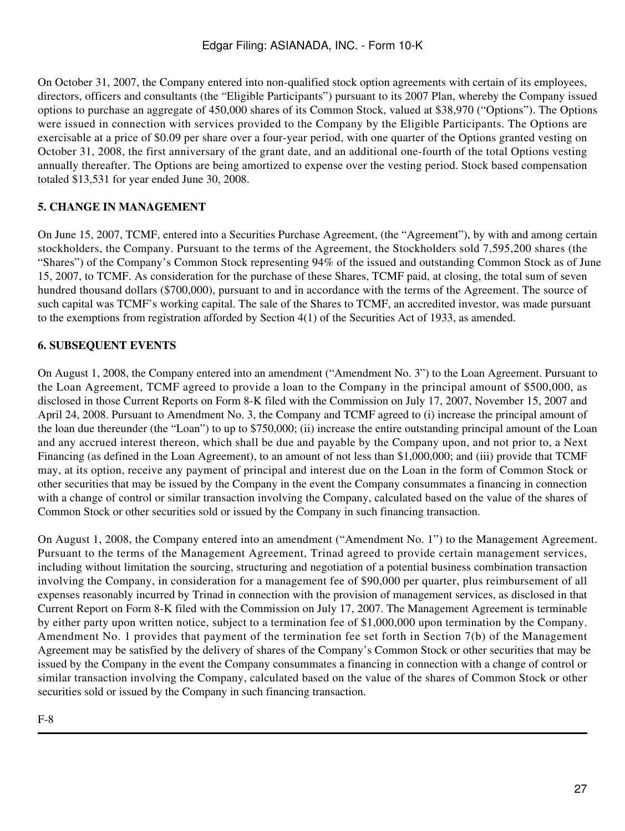On October 31, 2007, the Company entered into non-qualified stock option agreements with certain of its employees, directors, officers and consultants (the "Eligible Participants") pursuant to its 2007 Plan, whereby the Company issued options to purchase an aggregate of 450,000 shares of its Common Stock, valued at \$38,970 ("Options"). The Options were issued in connection with services provided to the Company by the Eligible Participants. The Options are exercisable at a price of \$0.09 per share over a four-year period, with one quarter of the Options granted vesting on October 31, 2008, the first anniversary of the grant date, and an additional one-fourth of the total Options vesting annually thereafter. The Options are being amortized to expense over the vesting period. Stock based compensation totaled \$13,531 for year ended June 30, 2008.

# **5. CHANGE IN MANAGEMENT**

On June 15, 2007, TCMF, entered into a Securities Purchase Agreement, (the "Agreement"), by with and among certain stockholders, the Company. Pursuant to the terms of the Agreement, the Stockholders sold 7,595,200 shares (the "Shares") of the Company's Common Stock representing 94% of the issued and outstanding Common Stock as of June 15, 2007, to TCMF. As consideration for the purchase of these Shares, TCMF paid, at closing, the total sum of seven hundred thousand dollars (\$700,000), pursuant to and in accordance with the terms of the Agreement. The source of such capital was TCMF's working capital. The sale of the Shares to TCMF, an accredited investor, was made pursuant to the exemptions from registration afforded by Section 4(1) of the Securities Act of 1933, as amended.

# **6. SUBSEQUENT EVENTS**

On August 1, 2008, the Company entered into an amendment ("Amendment No. 3") to the Loan Agreement. Pursuant to the Loan Agreement, TCMF agreed to provide a loan to the Company in the principal amount of \$500,000, as disclosed in those Current Reports on Form 8-K filed with the Commission on July 17, 2007, November 15, 2007 and April 24, 2008. Pursuant to Amendment No. 3, the Company and TCMF agreed to (i) increase the principal amount of the loan due thereunder (the "Loan") to up to \$750,000; (ii) increase the entire outstanding principal amount of the Loan and any accrued interest thereon, which shall be due and payable by the Company upon, and not prior to, a Next Financing (as defined in the Loan Agreement), to an amount of not less than \$1,000,000; and (iii) provide that TCMF may, at its option, receive any payment of principal and interest due on the Loan in the form of Common Stock or other securities that may be issued by the Company in the event the Company consummates a financing in connection with a change of control or similar transaction involving the Company, calculated based on the value of the shares of Common Stock or other securities sold or issued by the Company in such financing transaction.

On August 1, 2008, the Company entered into an amendment ("Amendment No. 1") to the Management Agreement. Pursuant to the terms of the Management Agreement, Trinad agreed to provide certain management services, including without limitation the sourcing, structuring and negotiation of a potential business combination transaction involving the Company, in consideration for a management fee of \$90,000 per quarter, plus reimbursement of all expenses reasonably incurred by Trinad in connection with the provision of management services, as disclosed in that Current Report on Form 8-K filed with the Commission on July 17, 2007. The Management Agreement is terminable by either party upon written notice, subject to a termination fee of \$1,000,000 upon termination by the Company. Amendment No. 1 provides that payment of the termination fee set forth in Section 7(b) of the Management Agreement may be satisfied by the delivery of shares of the Company's Common Stock or other securities that may be issued by the Company in the event the Company consummates a financing in connection with a change of control or similar transaction involving the Company, calculated based on the value of the shares of Common Stock or other securities sold or issued by the Company in such financing transaction.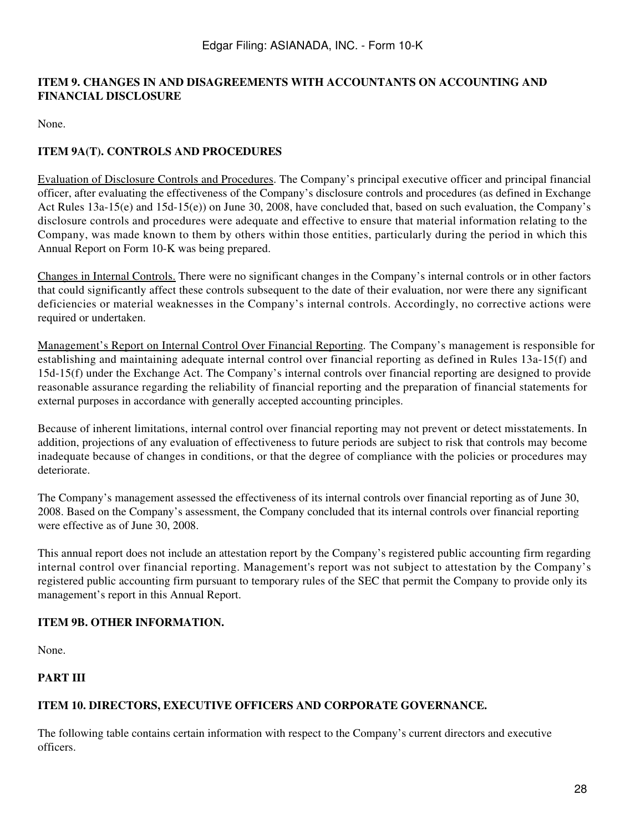### **ITEM 9. CHANGES IN AND DISAGREEMENTS WITH ACCOUNTANTS ON ACCOUNTING AND FINANCIAL DISCLOSURE**

None.

# **ITEM 9A(T). CONTROLS AND PROCEDURES**

Evaluation of Disclosure Controls and Procedures. The Company's principal executive officer and principal financial officer, after evaluating the effectiveness of the Company's disclosure controls and procedures (as defined in Exchange Act Rules 13a-15(e) and 15d-15(e)) on June 30, 2008, have concluded that, based on such evaluation, the Company's disclosure controls and procedures were adequate and effective to ensure that material information relating to the Company, was made known to them by others within those entities, particularly during the period in which this Annual Report on Form 10-K was being prepared.

Changes in Internal Controls. There were no significant changes in the Company's internal controls or in other factors that could significantly affect these controls subsequent to the date of their evaluation, nor were there any significant deficiencies or material weaknesses in the Company's internal controls. Accordingly, no corrective actions were required or undertaken.

Management's Report on Internal Control Over Financial Reporting*.* The Company's management is responsible for establishing and maintaining adequate internal control over financial reporting as defined in Rules 13a-15(f) and 15d-15(f) under the Exchange Act. The Company's internal controls over financial reporting are designed to provide reasonable assurance regarding the reliability of financial reporting and the preparation of financial statements for external purposes in accordance with generally accepted accounting principles.

Because of inherent limitations, internal control over financial reporting may not prevent or detect misstatements. In addition, projections of any evaluation of effectiveness to future periods are subject to risk that controls may become inadequate because of changes in conditions, or that the degree of compliance with the policies or procedures may deteriorate.

The Company's management assessed the effectiveness of its internal controls over financial reporting as of June 30, 2008. Based on the Company's assessment, the Company concluded that its internal controls over financial reporting were effective as of June 30, 2008.

This annual report does not include an attestation report by the Company's registered public accounting firm regarding internal control over financial reporting. Management's report was not subject to attestation by the Company's registered public accounting firm pursuant to temporary rules of the SEC that permit the Company to provide only its management's report in this Annual Report.

### **ITEM 9B. OTHER INFORMATION.**

None.

# **PART III**

### **ITEM 10. DIRECTORS, EXECUTIVE OFFICERS AND CORPORATE GOVERNANCE.**

The following table contains certain information with respect to the Company's current directors and executive officers.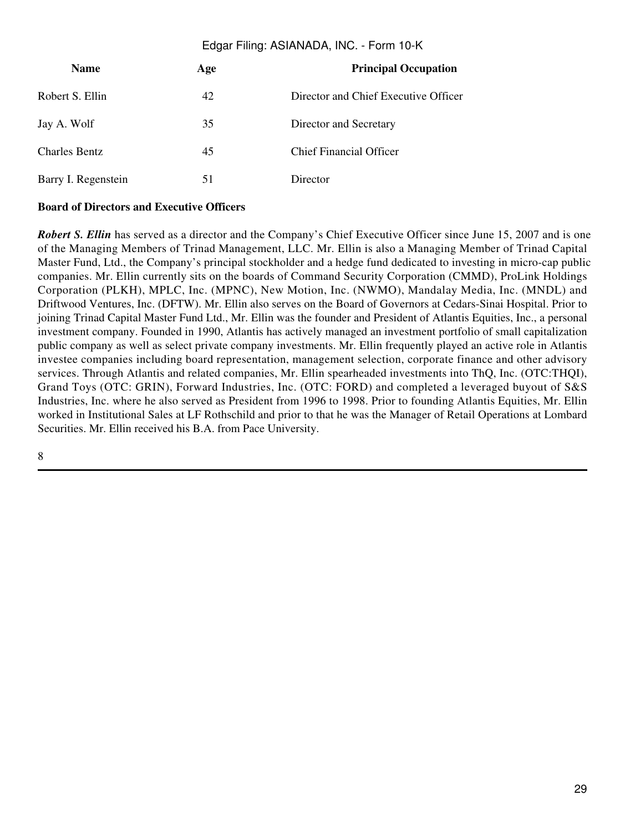| <b>Name</b>          | Age | <b>Principal Occupation</b>          |
|----------------------|-----|--------------------------------------|
| Robert S. Ellin      | 42  | Director and Chief Executive Officer |
| Jay A. Wolf          | 35  | Director and Secretary               |
| <b>Charles Bentz</b> | 45  | <b>Chief Financial Officer</b>       |
| Barry I. Regenstein  | 51  | Director                             |

### **Board of Directors and Executive Officers**

*Robert S. Ellin* has served as a director and the Company's Chief Executive Officer since June 15, 2007 and is one of the Managing Members of Trinad Management, LLC. Mr. Ellin is also a Managing Member of Trinad Capital Master Fund, Ltd., the Company's principal stockholder and a hedge fund dedicated to investing in micro-cap public companies. Mr. Ellin currently sits on the boards of Command Security Corporation (CMMD), ProLink Holdings Corporation (PLKH), MPLC, Inc. (MPNC), New Motion, Inc. (NWMO), Mandalay Media, Inc. (MNDL) and Driftwood Ventures, Inc. (DFTW). Mr. Ellin also serves on the Board of Governors at Cedars-Sinai Hospital. Prior to joining Trinad Capital Master Fund Ltd., Mr. Ellin was the founder and President of Atlantis Equities, Inc., a personal investment company. Founded in 1990, Atlantis has actively managed an investment portfolio of small capitalization public company as well as select private company investments. Mr. Ellin frequently played an active role in Atlantis investee companies including board representation, management selection, corporate finance and other advisory services. Through Atlantis and related companies, Mr. Ellin spearheaded investments into ThQ, Inc. (OTC:THQI), Grand Toys (OTC: GRIN), Forward Industries, Inc. (OTC: FORD) and completed a leveraged buyout of S&S Industries, Inc. where he also served as President from 1996 to 1998. Prior to founding Atlantis Equities, Mr. Ellin worked in Institutional Sales at LF Rothschild and prior to that he was the Manager of Retail Operations at Lombard Securities. Mr. Ellin received his B.A. from Pace University.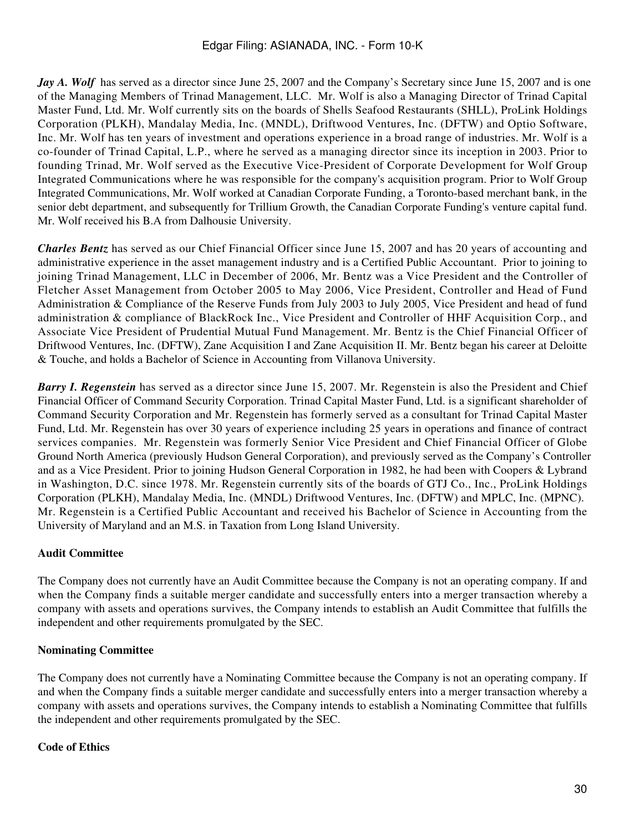*Jay A. Wolf* has served as a director since June 25, 2007 and the Company's Secretary since June 15, 2007 and is one of the Managing Members of Trinad Management, LLC. Mr. Wolf is also a Managing Director of Trinad Capital Master Fund, Ltd. Mr. Wolf currently sits on the boards of Shells Seafood Restaurants (SHLL), ProLink Holdings Corporation (PLKH), Mandalay Media, Inc. (MNDL), Driftwood Ventures, Inc. (DFTW) and Optio Software, Inc. Mr. Wolf has ten years of investment and operations experience in a broad range of industries. Mr. Wolf is a co-founder of Trinad Capital, L.P., where he served as a managing director since its inception in 2003. Prior to founding Trinad, Mr. Wolf served as the Executive Vice-President of Corporate Development for Wolf Group Integrated Communications where he was responsible for the company's acquisition program. Prior to Wolf Group Integrated Communications, Mr. Wolf worked at Canadian Corporate Funding, a Toronto-based merchant bank, in the senior debt department, and subsequently for Trillium Growth, the Canadian Corporate Funding's venture capital fund. Mr. Wolf received his B.A from Dalhousie University.

*Charles Bentz* has served as our Chief Financial Officer since June 15, 2007 and has 20 years of accounting and administrative experience in the asset management industry and is a Certified Public Accountant. Prior to joining to joining Trinad Management, LLC in December of 2006, Mr. Bentz was a Vice President and the Controller of Fletcher Asset Management from October 2005 to May 2006, Vice President, Controller and Head of Fund Administration & Compliance of the Reserve Funds from July 2003 to July 2005, Vice President and head of fund administration & compliance of BlackRock Inc., Vice President and Controller of HHF Acquisition Corp., and Associate Vice President of Prudential Mutual Fund Management. Mr. Bentz is the Chief Financial Officer of Driftwood Ventures, Inc. (DFTW), Zane Acquisition I and Zane Acquisition II. Mr. Bentz began his career at Deloitte & Touche, and holds a Bachelor of Science in Accounting from Villanova University.

*Barry I. Regenstein* has served as a director since June 15, 2007. Mr. Regenstein is also the President and Chief Financial Officer of Command Security Corporation. Trinad Capital Master Fund, Ltd. is a significant shareholder of Command Security Corporation and Mr. Regenstein has formerly served as a consultant for Trinad Capital Master Fund, Ltd. Mr. Regenstein has over 30 years of experience including 25 years in operations and finance of contract services companies. Mr. Regenstein was formerly Senior Vice President and Chief Financial Officer of Globe Ground North America (previously Hudson General Corporation), and previously served as the Company's Controller and as a Vice President. Prior to joining Hudson General Corporation in 1982, he had been with Coopers & Lybrand in Washington, D.C. since 1978. Mr. Regenstein currently sits of the boards of GTJ Co., Inc., ProLink Holdings Corporation (PLKH), Mandalay Media, Inc. (MNDL) Driftwood Ventures, Inc. (DFTW) and MPLC, Inc. (MPNC). Mr. Regenstein is a Certified Public Accountant and received his Bachelor of Science in Accounting from the University of Maryland and an M.S. in Taxation from Long Island University.

### **Audit Committee**

The Company does not currently have an Audit Committee because the Company is not an operating company. If and when the Company finds a suitable merger candidate and successfully enters into a merger transaction whereby a company with assets and operations survives, the Company intends to establish an Audit Committee that fulfills the independent and other requirements promulgated by the SEC.

### **Nominating Committee**

The Company does not currently have a Nominating Committee because the Company is not an operating company. If and when the Company finds a suitable merger candidate and successfully enters into a merger transaction whereby a company with assets and operations survives, the Company intends to establish a Nominating Committee that fulfills the independent and other requirements promulgated by the SEC.

### **Code of Ethics**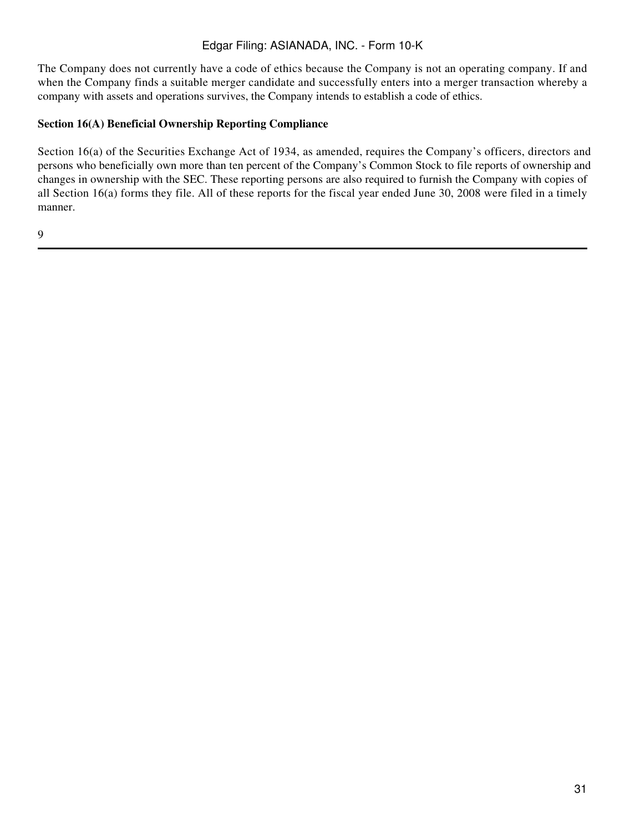The Company does not currently have a code of ethics because the Company is not an operating company. If and when the Company finds a suitable merger candidate and successfully enters into a merger transaction whereby a company with assets and operations survives, the Company intends to establish a code of ethics.

### **Section 16(A) Beneficial Ownership Reporting Compliance**

Section 16(a) of the Securities Exchange Act of 1934, as amended, requires the Company's officers, directors and persons who beneficially own more than ten percent of the Company's Common Stock to file reports of ownership and changes in ownership with the SEC. These reporting persons are also required to furnish the Company with copies of all Section 16(a) forms they file. All of these reports for the fiscal year ended June 30, 2008 were filed in a timely manner.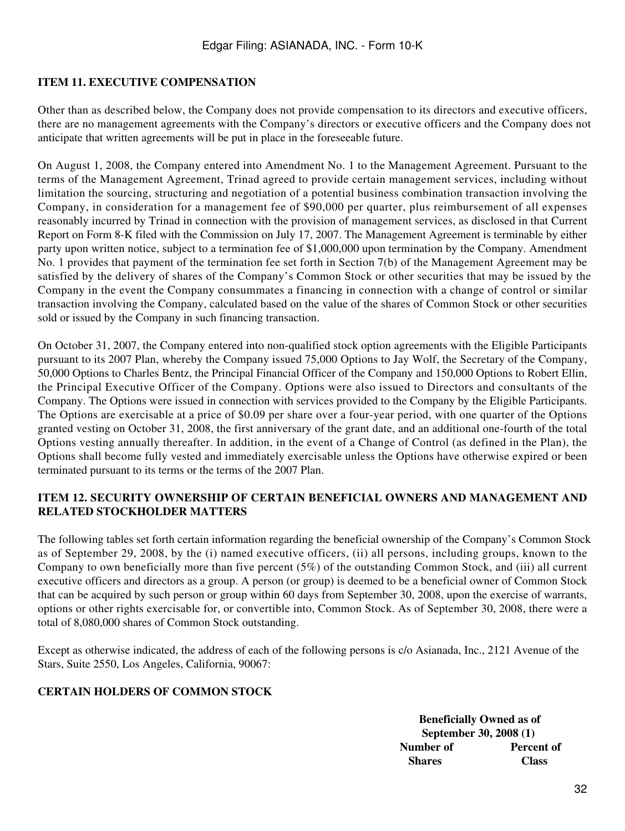### **ITEM 11. EXECUTIVE COMPENSATION**

Other than as described below, the Company does not provide compensation to its directors and executive officers, there are no management agreements with the Company's directors or executive officers and the Company does not anticipate that written agreements will be put in place in the foreseeable future.

On August 1, 2008, the Company entered into Amendment No. 1 to the Management Agreement. Pursuant to the terms of the Management Agreement, Trinad agreed to provide certain management services, including without limitation the sourcing, structuring and negotiation of a potential business combination transaction involving the Company, in consideration for a management fee of \$90,000 per quarter, plus reimbursement of all expenses reasonably incurred by Trinad in connection with the provision of management services, as disclosed in that Current Report on Form 8-K filed with the Commission on July 17, 2007. The Management Agreement is terminable by either party upon written notice, subject to a termination fee of \$1,000,000 upon termination by the Company. Amendment No. 1 provides that payment of the termination fee set forth in Section 7(b) of the Management Agreement may be satisfied by the delivery of shares of the Company's Common Stock or other securities that may be issued by the Company in the event the Company consummates a financing in connection with a change of control or similar transaction involving the Company, calculated based on the value of the shares of Common Stock or other securities sold or issued by the Company in such financing transaction.

On October 31, 2007, the Company entered into non-qualified stock option agreements with the Eligible Participants pursuant to its 2007 Plan, whereby the Company issued 75,000 Options to Jay Wolf, the Secretary of the Company, 50,000 Options to Charles Bentz, the Principal Financial Officer of the Company and 150,000 Options to Robert Ellin, the Principal Executive Officer of the Company. Options were also issued to Directors and consultants of the Company. The Options were issued in connection with services provided to the Company by the Eligible Participants. The Options are exercisable at a price of \$0.09 per share over a four-year period, with one quarter of the Options granted vesting on October 31, 2008, the first anniversary of the grant date, and an additional one-fourth of the total Options vesting annually thereafter. In addition, in the event of a Change of Control (as defined in the Plan), the Options shall become fully vested and immediately exercisable unless the Options have otherwise expired or been terminated pursuant to its terms or the terms of the 2007 Plan.

### **ITEM 12. SECURITY OWNERSHIP OF CERTAIN BENEFICIAL OWNERS AND MANAGEMENT AND RELATED STOCKHOLDER MATTERS**

The following tables set forth certain information regarding the beneficial ownership of the Company's Common Stock as of September 29, 2008, by the (i) named executive officers, (ii) all persons, including groups, known to the Company to own beneficially more than five percent (5%) of the outstanding Common Stock, and (iii) all current executive officers and directors as a group. A person (or group) is deemed to be a beneficial owner of Common Stock that can be acquired by such person or group within 60 days from September 30, 2008, upon the exercise of warrants, options or other rights exercisable for, or convertible into, Common Stock. As of September 30, 2008, there were a total of 8,080,000 shares of Common Stock outstanding.

Except as otherwise indicated, the address of each of the following persons is c/o Asianada, Inc., 2121 Avenue of the Stars, Suite 2550, Los Angeles, California, 90067:

# **CERTAIN HOLDERS OF COMMON STOCK**

**Beneficially Owned as of September 30, 2008 (1) Number of Percent of Shares Class**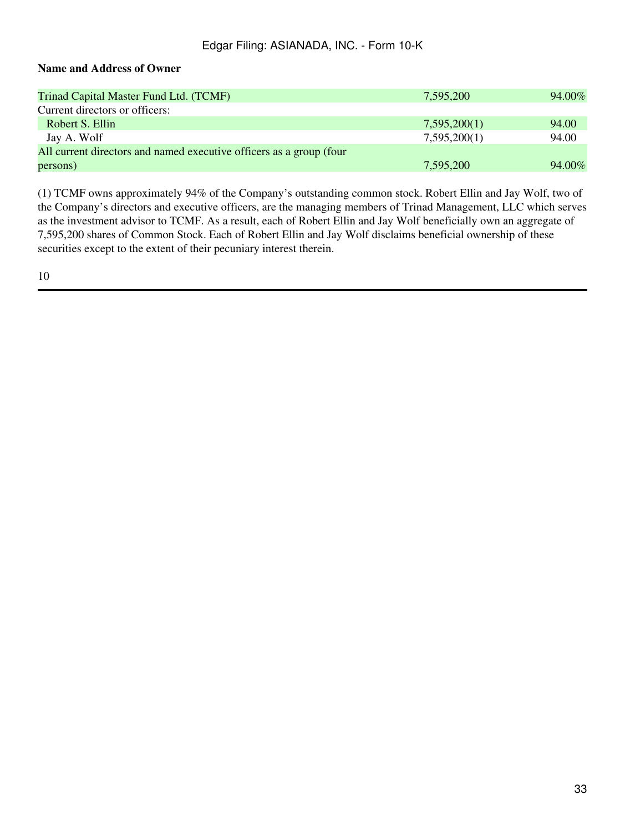### **Name and Address of Owner**

| Trinad Capital Master Fund Ltd. (TCMF)                              | 7,595,200    | 94.00% |
|---------------------------------------------------------------------|--------------|--------|
| Current directors or officers:                                      |              |        |
| Robert S. Ellin                                                     | 7,595,200(1) | 94.00  |
| Jay A. Wolf                                                         | 7,595,200(1) | 94.00  |
| All current directors and named executive officers as a group (four |              |        |
| persons)                                                            | 7,595,200    | 94.00% |

(1) TCMF owns approximately 94% of the Company's outstanding common stock. Robert Ellin and Jay Wolf, two of the Company's directors and executive officers, are the managing members of Trinad Management, LLC which serves as the investment advisor to TCMF. As a result, each of Robert Ellin and Jay Wolf beneficially own an aggregate of 7,595,200 shares of Common Stock. Each of Robert Ellin and Jay Wolf disclaims beneficial ownership of these securities except to the extent of their pecuniary interest therein.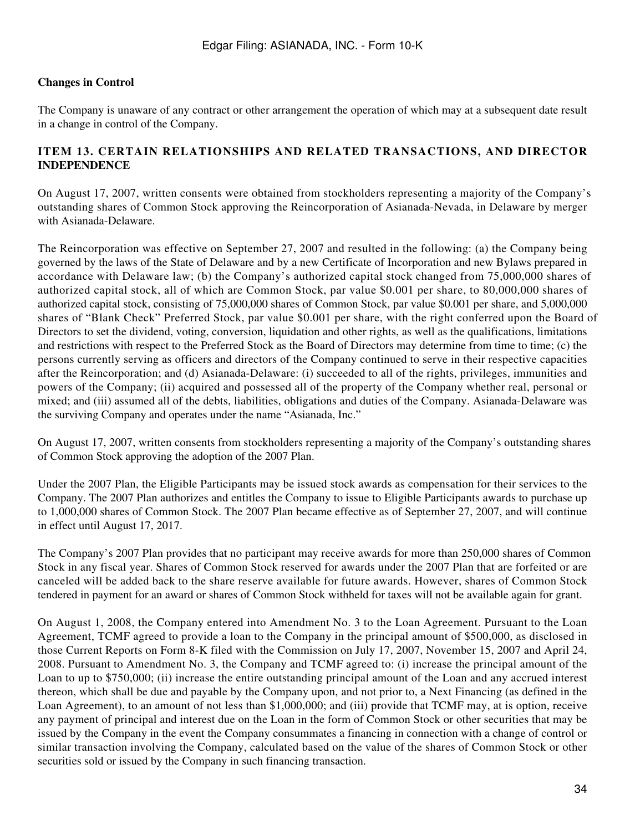### **Changes in Control**

The Company is unaware of any contract or other arrangement the operation of which may at a subsequent date result in a change in control of the Company.

### **ITEM 13. CERTAIN RELATIONSHIPS AND RELATED TRANSACTIONS, AND DIRECTOR INDEPENDENCE**

On August 17, 2007, written consents were obtained from stockholders representing a majority of the Company's outstanding shares of Common Stock approving the Reincorporation of Asianada-Nevada, in Delaware by merger with Asianada-Delaware.

The Reincorporation was effective on September 27, 2007 and resulted in the following: (a) the Company being governed by the laws of the State of Delaware and by a new Certificate of Incorporation and new Bylaws prepared in accordance with Delaware law; (b) the Company's authorized capital stock changed from 75,000,000 shares of authorized capital stock, all of which are Common Stock, par value \$0.001 per share, to 80,000,000 shares of authorized capital stock, consisting of 75,000,000 shares of Common Stock, par value \$0.001 per share, and 5,000,000 shares of "Blank Check" Preferred Stock, par value \$0.001 per share, with the right conferred upon the Board of Directors to set the dividend, voting, conversion, liquidation and other rights, as well as the qualifications, limitations and restrictions with respect to the Preferred Stock as the Board of Directors may determine from time to time; (c) the persons currently serving as officers and directors of the Company continued to serve in their respective capacities after the Reincorporation; and (d) Asianada-Delaware: (i) succeeded to all of the rights, privileges, immunities and powers of the Company; (ii) acquired and possessed all of the property of the Company whether real, personal or mixed; and (iii) assumed all of the debts, liabilities, obligations and duties of the Company. Asianada-Delaware was the surviving Company and operates under the name "Asianada, Inc."

On August 17, 2007, written consents from stockholders representing a majority of the Company's outstanding shares of Common Stock approving the adoption of the 2007 Plan.

Under the 2007 Plan, the Eligible Participants may be issued stock awards as compensation for their services to the Company. The 2007 Plan authorizes and entitles the Company to issue to Eligible Participants awards to purchase up to 1,000,000 shares of Common Stock. The 2007 Plan became effective as of September 27, 2007, and will continue in effect until August 17, 2017.

The Company's 2007 Plan provides that no participant may receive awards for more than 250,000 shares of Common Stock in any fiscal year. Shares of Common Stock reserved for awards under the 2007 Plan that are forfeited or are canceled will be added back to the share reserve available for future awards. However, shares of Common Stock tendered in payment for an award or shares of Common Stock withheld for taxes will not be available again for grant.

On August 1, 2008, the Company entered into Amendment No. 3 to the Loan Agreement. Pursuant to the Loan Agreement, TCMF agreed to provide a loan to the Company in the principal amount of \$500,000, as disclosed in those Current Reports on Form 8-K filed with the Commission on July 17, 2007, November 15, 2007 and April 24, 2008. Pursuant to Amendment No. 3, the Company and TCMF agreed to: (i) increase the principal amount of the Loan to up to \$750,000; (ii) increase the entire outstanding principal amount of the Loan and any accrued interest thereon, which shall be due and payable by the Company upon, and not prior to, a Next Financing (as defined in the Loan Agreement), to an amount of not less than \$1,000,000; and (iii) provide that TCMF may, at is option, receive any payment of principal and interest due on the Loan in the form of Common Stock or other securities that may be issued by the Company in the event the Company consummates a financing in connection with a change of control or similar transaction involving the Company, calculated based on the value of the shares of Common Stock or other securities sold or issued by the Company in such financing transaction.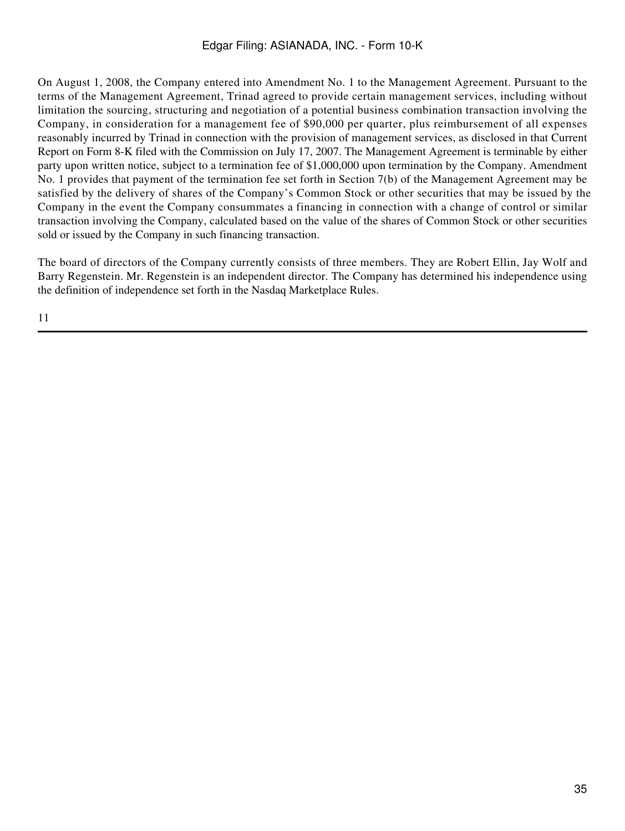On August 1, 2008, the Company entered into Amendment No. 1 to the Management Agreement. Pursuant to the terms of the Management Agreement, Trinad agreed to provide certain management services, including without limitation the sourcing, structuring and negotiation of a potential business combination transaction involving the Company, in consideration for a management fee of \$90,000 per quarter, plus reimbursement of all expenses reasonably incurred by Trinad in connection with the provision of management services, as disclosed in that Current Report on Form 8-K filed with the Commission on July 17, 2007. The Management Agreement is terminable by either party upon written notice, subject to a termination fee of \$1,000,000 upon termination by the Company. Amendment No. 1 provides that payment of the termination fee set forth in Section 7(b) of the Management Agreement may be satisfied by the delivery of shares of the Company's Common Stock or other securities that may be issued by the Company in the event the Company consummates a financing in connection with a change of control or similar transaction involving the Company, calculated based on the value of the shares of Common Stock or other securities sold or issued by the Company in such financing transaction.

The board of directors of the Company currently consists of three members. They are Robert Ellin, Jay Wolf and Barry Regenstein. Mr. Regenstein is an independent director. The Company has determined his independence using the definition of independence set forth in the Nasdaq Marketplace Rules.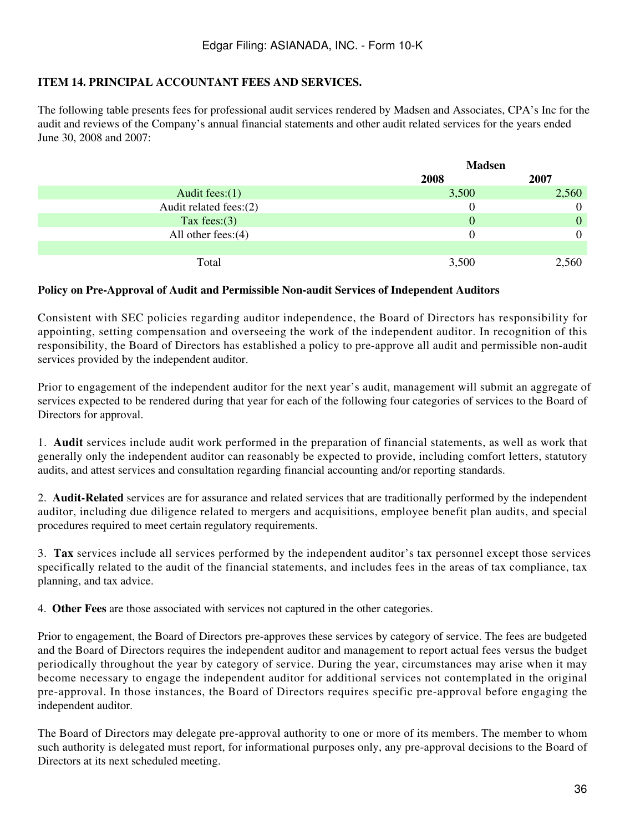### **ITEM 14. PRINCIPAL ACCOUNTANT FEES AND SERVICES.**

The following table presents fees for professional audit services rendered by Madsen and Associates, CPA's Inc for the audit and reviews of the Company's annual financial statements and other audit related services for the years ended June 30, 2008 and 2007:

|                         | <b>Madsen</b> |              |
|-------------------------|---------------|--------------|
|                         | 2008          | 2007         |
| Audit fees: $(1)$       | 3,500         | 2,560        |
| Audit related fees: (2) |               | $\mathbf{0}$ |
| Tax fees: $(3)$         | $\Omega$      | $\mathbf{0}$ |
| All other fees: $(4)$   |               | $\theta$     |
|                         |               |              |
| Total                   | 3,500         | 2,560        |

#### **Policy on Pre-Approval of Audit and Permissible Non-audit Services of Independent Auditors**

Consistent with SEC policies regarding auditor independence, the Board of Directors has responsibility for appointing, setting compensation and overseeing the work of the independent auditor. In recognition of this responsibility, the Board of Directors has established a policy to pre-approve all audit and permissible non-audit services provided by the independent auditor.

Prior to engagement of the independent auditor for the next year's audit, management will submit an aggregate of services expected to be rendered during that year for each of the following four categories of services to the Board of Directors for approval.

1. **Audit** services include audit work performed in the preparation of financial statements, as well as work that generally only the independent auditor can reasonably be expected to provide, including comfort letters, statutory audits, and attest services and consultation regarding financial accounting and/or reporting standards.

2. **Audit-Related** services are for assurance and related services that are traditionally performed by the independent auditor, including due diligence related to mergers and acquisitions, employee benefit plan audits, and special procedures required to meet certain regulatory requirements.

3. **Tax** services include all services performed by the independent auditor's tax personnel except those services specifically related to the audit of the financial statements, and includes fees in the areas of tax compliance, tax planning, and tax advice.

4. **Other Fees** are those associated with services not captured in the other categories.

Prior to engagement, the Board of Directors pre-approves these services by category of service. The fees are budgeted and the Board of Directors requires the independent auditor and management to report actual fees versus the budget periodically throughout the year by category of service. During the year, circumstances may arise when it may become necessary to engage the independent auditor for additional services not contemplated in the original pre-approval. In those instances, the Board of Directors requires specific pre-approval before engaging the independent auditor.

The Board of Directors may delegate pre-approval authority to one or more of its members. The member to whom such authority is delegated must report, for informational purposes only, any pre-approval decisions to the Board of Directors at its next scheduled meeting.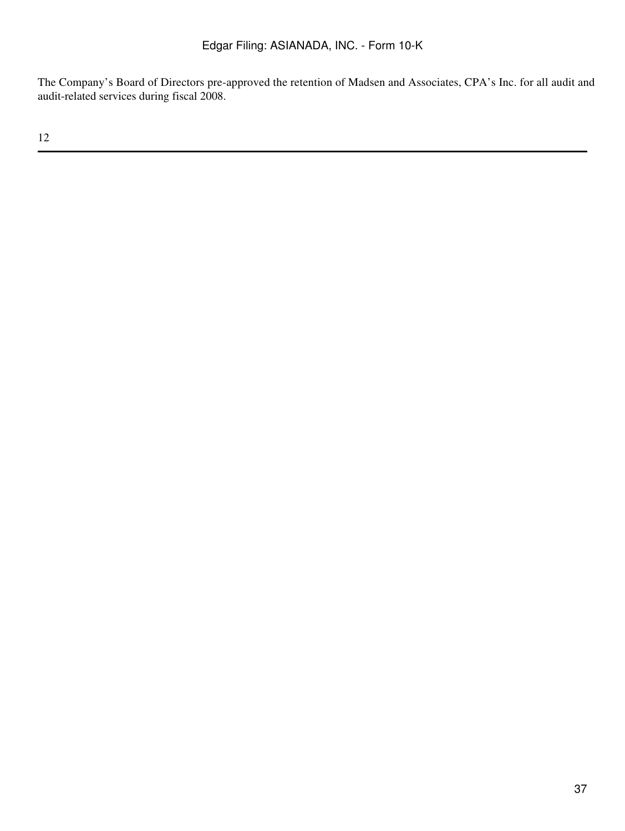The Company's Board of Directors pre-approved the retention of Madsen and Associates, CPA's Inc. for all audit and audit-related services during fiscal 2008.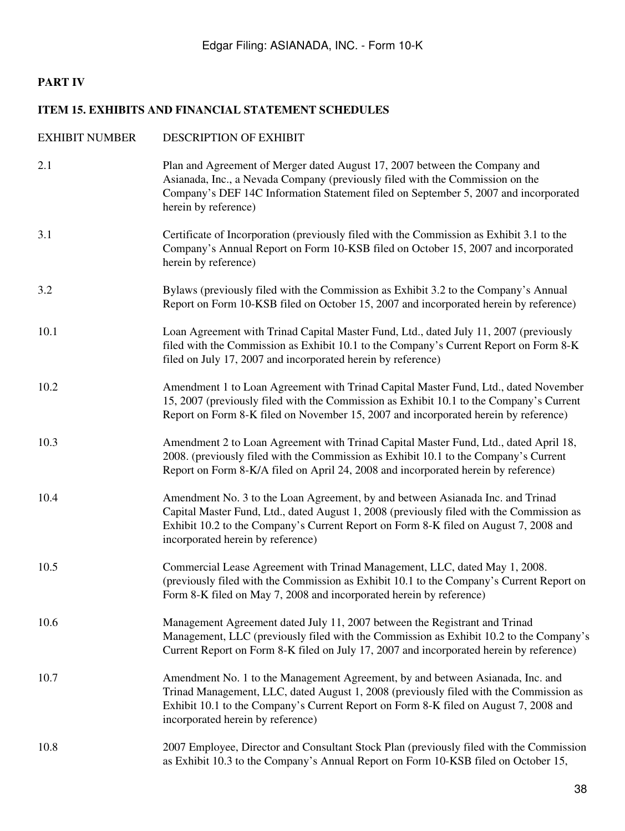# **PART IV**

### **ITEM 15. EXHIBITS AND FINANCIAL STATEMENT SCHEDULES**

| <b>EXHIBIT NUMBER</b> | <b>DESCRIPTION OF EXHIBIT</b>                                                                                                                                                                                                                                                                           |
|-----------------------|---------------------------------------------------------------------------------------------------------------------------------------------------------------------------------------------------------------------------------------------------------------------------------------------------------|
| 2.1                   | Plan and Agreement of Merger dated August 17, 2007 between the Company and<br>Asianada, Inc., a Nevada Company (previously filed with the Commission on the<br>Company's DEF 14C Information Statement filed on September 5, 2007 and incorporated<br>herein by reference)                              |
| 3.1                   | Certificate of Incorporation (previously filed with the Commission as Exhibit 3.1 to the<br>Company's Annual Report on Form 10-KSB filed on October 15, 2007 and incorporated<br>herein by reference)                                                                                                   |
| 3.2                   | Bylaws (previously filed with the Commission as Exhibit 3.2 to the Company's Annual<br>Report on Form 10-KSB filed on October 15, 2007 and incorporated herein by reference)                                                                                                                            |
| 10.1                  | Loan Agreement with Trinad Capital Master Fund, Ltd., dated July 11, 2007 (previously<br>filed with the Commission as Exhibit 10.1 to the Company's Current Report on Form 8-K<br>filed on July 17, 2007 and incorporated herein by reference)                                                          |
| 10.2                  | Amendment 1 to Loan Agreement with Trinad Capital Master Fund, Ltd., dated November<br>15, 2007 (previously filed with the Commission as Exhibit 10.1 to the Company's Current<br>Report on Form 8-K filed on November 15, 2007 and incorporated herein by reference)                                   |
| 10.3                  | Amendment 2 to Loan Agreement with Trinad Capital Master Fund, Ltd., dated April 18,<br>2008. (previously filed with the Commission as Exhibit 10.1 to the Company's Current<br>Report on Form 8-K/A filed on April 24, 2008 and incorporated herein by reference)                                      |
| 10.4                  | Amendment No. 3 to the Loan Agreement, by and between Asianada Inc. and Trinad<br>Capital Master Fund, Ltd., dated August 1, 2008 (previously filed with the Commission as<br>Exhibit 10.2 to the Company's Current Report on Form 8-K filed on August 7, 2008 and<br>incorporated herein by reference) |
| 10.5                  | Commercial Lease Agreement with Trinad Management, LLC, dated May 1, 2008.<br>(previously filed with the Commission as Exhibit 10.1 to the Company's Current Report on<br>Form 8-K filed on May 7, 2008 and incorporated herein by reference)                                                           |
| 10.6                  | Management Agreement dated July 11, 2007 between the Registrant and Trinad<br>Management, LLC (previously filed with the Commission as Exhibit 10.2 to the Company's<br>Current Report on Form 8-K filed on July 17, 2007 and incorporated herein by reference)                                         |
| 10.7                  | Amendment No. 1 to the Management Agreement, by and between Asianada, Inc. and<br>Trinad Management, LLC, dated August 1, 2008 (previously filed with the Commission as<br>Exhibit 10.1 to the Company's Current Report on Form 8-K filed on August 7, 2008 and<br>incorporated herein by reference)    |
| 10.8                  | 2007 Employee, Director and Consultant Stock Plan (previously filed with the Commission<br>as Exhibit 10.3 to the Company's Annual Report on Form 10-KSB filed on October 15,                                                                                                                           |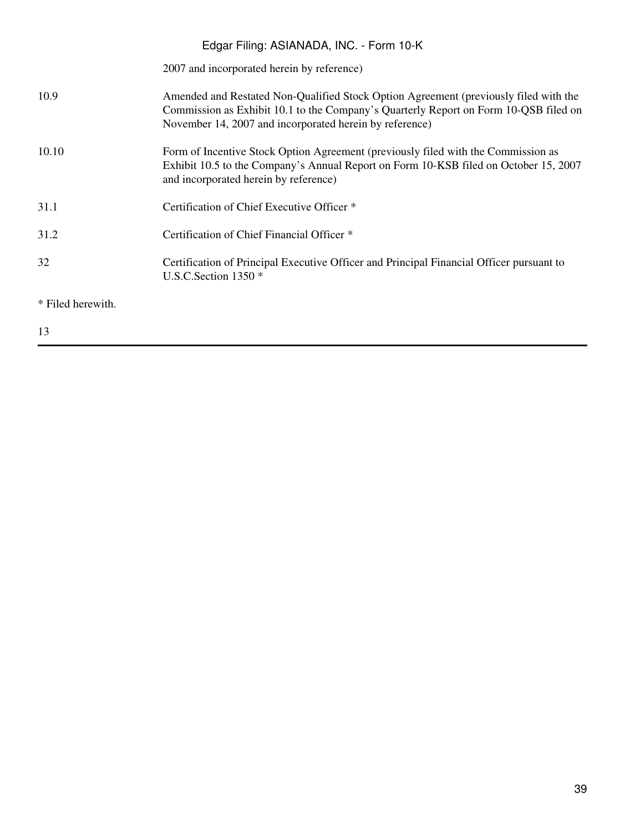# 2007 and incorporated herein by reference) 10.9 Amended and Restated Non-Qualified Stock Option Agreement (previously filed with the Commission as Exhibit 10.1 to the Company's Quarterly Report on Form 10-QSB filed on November 14, 2007 and incorporated herein by reference) 10.10 Form of Incentive Stock Option Agreement (previously filed with the Commission as Exhibit 10.5 to the Company's Annual Report on Form 10-KSB filed on October 15, 2007 and incorporated herein by reference) 31.1 Certification of Chief Executive Officer \* 31.2 Certification of Chief Financial Officer \* 32 Certification of Principal Executive Officer and Principal Financial Officer pursuant to U.S.C.Section 1350 \* \* Filed herewith. Edgar Filing: ASIANADA, INC. - Form 10-K